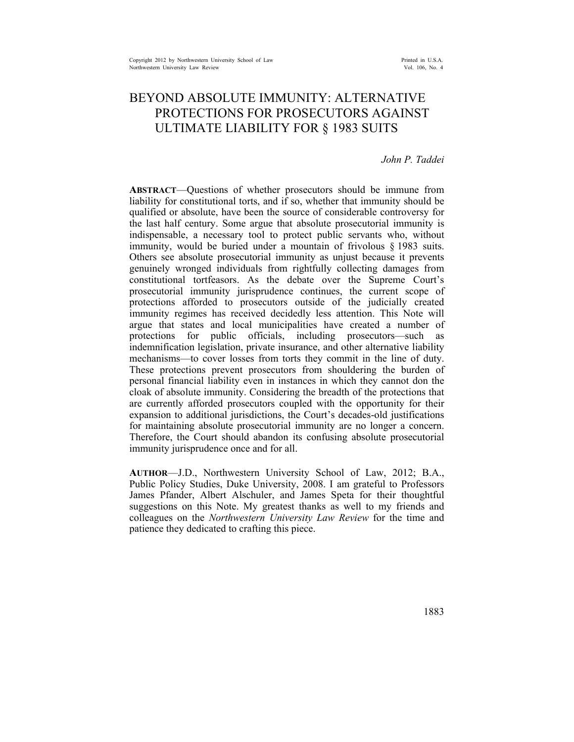# BEYOND ABSOLUTE IMMUNITY: ALTERNATIVE PROTECTIONS FOR PROSECUTORS AGAINST ULTIMATE LIABILITY FOR § 1983 SUITS

## *John P. Taddei*

**ABSTRACT**—Questions of whether prosecutors should be immune from liability for constitutional torts, and if so, whether that immunity should be qualified or absolute, have been the source of considerable controversy for the last half century. Some argue that absolute prosecutorial immunity is indispensable, a necessary tool to protect public servants who, without immunity, would be buried under a mountain of frivolous § 1983 suits. Others see absolute prosecutorial immunity as unjust because it prevents genuinely wronged individuals from rightfully collecting damages from constitutional tortfeasors. As the debate over the Supreme Court's prosecutorial immunity jurisprudence continues, the current scope of protections afforded to prosecutors outside of the judicially created immunity regimes has received decidedly less attention. This Note will argue that states and local municipalities have created a number of protections for public officials, including prosecutors—such as indemnification legislation, private insurance, and other alternative liability mechanisms—to cover losses from torts they commit in the line of duty. These protections prevent prosecutors from shouldering the burden of personal financial liability even in instances in which they cannot don the cloak of absolute immunity. Considering the breadth of the protections that are currently afforded prosecutors coupled with the opportunity for their expansion to additional jurisdictions, the Court's decades-old justifications for maintaining absolute prosecutorial immunity are no longer a concern. Therefore, the Court should abandon its confusing absolute prosecutorial immunity jurisprudence once and for all.

**AUTHOR**—J.D., Northwestern University School of Law, 2012; B.A., Public Policy Studies, Duke University, 2008. I am grateful to Professors James Pfander, Albert Alschuler, and James Speta for their thoughtful suggestions on this Note. My greatest thanks as well to my friends and colleagues on the *Northwestern University Law Review* for the time and patience they dedicated to crafting this piece.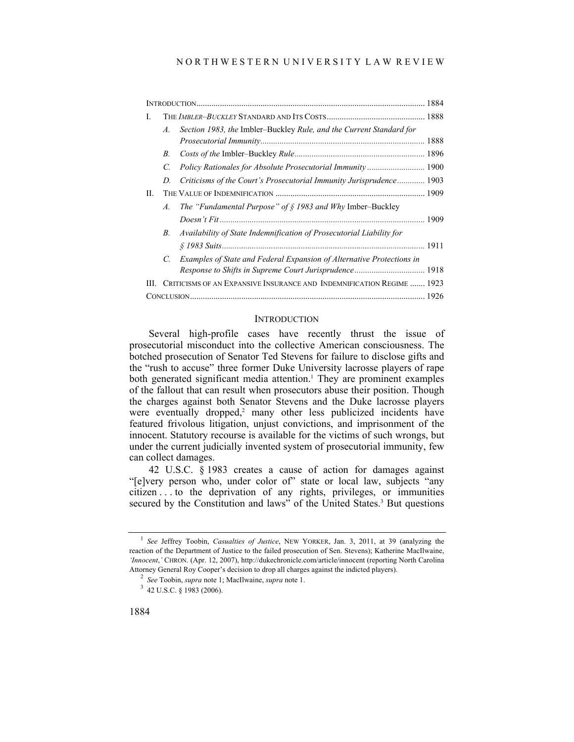### N O R T H W E S T E R N U N I V E R S I T Y L A W R E V I E W

| L  |                                                                       |                                                                       |  |
|----|-----------------------------------------------------------------------|-----------------------------------------------------------------------|--|
|    | $\mathcal{A}$ .                                                       | Section 1983, the Imbler-Buckley Rule, and the Current Standard for   |  |
|    | В.                                                                    |                                                                       |  |
|    | C.                                                                    |                                                                       |  |
|    | D.                                                                    | Criticisms of the Court's Prosecutorial Immunity Jurisprudence 1903   |  |
| П. |                                                                       |                                                                       |  |
|    | A.                                                                    | The "Fundamental Purpose" of $\S$ 1983 and Why Imber-Buckley          |  |
|    |                                                                       |                                                                       |  |
|    | В.                                                                    | Availability of State Indemnification of Prosecutorial Liability for  |  |
|    |                                                                       |                                                                       |  |
|    | C.                                                                    | Examples of State and Federal Expansion of Alternative Protections in |  |
|    |                                                                       | Response to Shifts in Supreme Court Jurisprudence 1918                |  |
| Ш. | CRITICISMS OF AN EXPANSIVE INSURANCE AND INDEMNIFICATION REGIME  1923 |                                                                       |  |
|    |                                                                       |                                                                       |  |

#### **INTRODUCTION**

Several high-profile cases have recently thrust the issue of prosecutorial misconduct into the collective American consciousness. The botched prosecution of Senator Ted Stevens for failure to disclose gifts and the "rush to accuse" three former Duke University lacrosse players of rape both generated significant media attention.<sup>1</sup> They are prominent examples of the fallout that can result when prosecutors abuse their position. Though the charges against both Senator Stevens and the Duke lacrosse players were eventually dropped, $2$  many other less publicized incidents have featured frivolous litigation, unjust convictions, and imprisonment of the innocent. Statutory recourse is available for the victims of such wrongs, but under the current judicially invented system of prosecutorial immunity, few can collect damages.

42 U.S.C. § 1983 creates a cause of action for damages against "[e]very person who, under color of" state or local law, subjects "any citizen . . . to the deprivation of any rights, privileges, or immunities secured by the Constitution and laws" of the United States.<sup>3</sup> But questions

<sup>&</sup>lt;sup>1</sup> See Jeffrey Toobin, *Casualties of Justice*, NEW YORKER, Jan. 3, 2011, at 39 (analyzing the reaction of the Department of Justice to the failed prosecution of Sen. Stevens); Katherine MacIlwaine, *'Innocent*,*'* CHRON. (Apr. 12, 2007), http://dukechronicle.com/article/innocent (reporting North Carolina Attorney General Roy Cooper's decision to drop all charges against the indicted players). 2

<sup>&</sup>lt;sup>2</sup> See Toobin, *supra* note 1; MacIlwaine, *supra* note 1.

 <sup>42</sup> U.S.C. § 1983 (2006).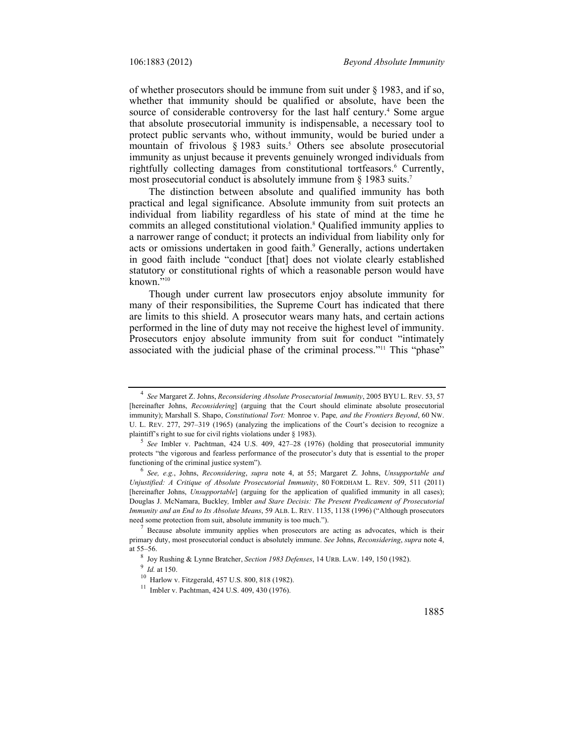of whether prosecutors should be immune from suit under  $\S$  1983, and if so, whether that immunity should be qualified or absolute, have been the source of considerable controversy for the last half century.<sup>4</sup> Some argue that absolute prosecutorial immunity is indispensable, a necessary tool to protect public servants who, without immunity, would be buried under a mountain of frivolous  $\S 1983$  suits.<sup>5</sup> Others see absolute prosecutorial immunity as unjust because it prevents genuinely wronged individuals from rightfully collecting damages from constitutional tortfeasors.<sup>6</sup> Currently, most prosecutorial conduct is absolutely immune from § 1983 suits.<sup>7</sup>

The distinction between absolute and qualified immunity has both practical and legal significance. Absolute immunity from suit protects an individual from liability regardless of his state of mind at the time he commits an alleged constitutional violation.8 Qualified immunity applies to a narrower range of conduct; it protects an individual from liability only for acts or omissions undertaken in good faith.<sup>9</sup> Generally, actions undertaken in good faith include "conduct [that] does not violate clearly established statutory or constitutional rights of which a reasonable person would have known. $\frac{1}{2}$ <sup>10</sup>

Though under current law prosecutors enjoy absolute immunity for many of their responsibilities, the Supreme Court has indicated that there are limits to this shield. A prosecutor wears many hats, and certain actions performed in the line of duty may not receive the highest level of immunity. Prosecutors enjoy absolute immunity from suit for conduct "intimately associated with the judicial phase of the criminal process."11 This "phase"

<sup>4</sup> *See* Margaret Z. Johns, *Reconsidering Absolute Prosecutorial Immunity*, 2005 BYU L. REV. 53, 57 [hereinafter Johns, *Reconsidering*] (arguing that the Court should eliminate absolute prosecutorial immunity); Marshall S. Shapo, *Constitutional Tort:* Monroe v. Pape*, and the Frontiers Beyond*, 60 NW. U. L. REV. 277, 297–319 (1965) (analyzing the implications of the Court's decision to recognize a plaintiff's right to sue for civil rights violations under  $\S$  1983).

*See* Imbler v. Pachtman, 424 U.S. 409, 427–28 (1976) (holding that prosecutorial immunity protects "the vigorous and fearless performance of the prosecutor's duty that is essential to the proper functioning of the criminal justice system").

*See, e.g.*, Johns, *Reconsidering*, *supra* note 4, at 55; Margaret Z. Johns, *Unsupportable and Unjustified: A Critique of Absolute Prosecutorial Immunity*, 80 FORDHAM L. REV. 509, 511 (2011) [hereinafter Johns, *Unsupportable*] (arguing for the application of qualified immunity in all cases); Douglas J. McNamara, Buckley*,* Imbler *and Stare Decisis: The Present Predicament of Prosecutorial Immunity and an End to Its Absolute Means*, 59 ALB. L. REV. 1135, 1138 (1996) ("Although prosecutors need some protection from suit, absolute immunity is too much.").

Because absolute immunity applies when prosecutors are acting as advocates, which is their primary duty, most prosecutorial conduct is absolutely immune. *See* Johns, *Reconsidering*, *supra* note 4, at  $55-56$ .

 $^8$  Joy Rushing & Lynne Bratcher, *Section 1983 Defenses*, 14 URB. LAW. 149, 150 (1982).  $^9$  *Id.* at 150.

<sup>&</sup>lt;sup>10</sup> Harlow v. Fitzgerald, 457 U.S. 800, 818 (1982).

<sup>11</sup> Imbler v. Pachtman, 424 U.S. 409, 430 (1976).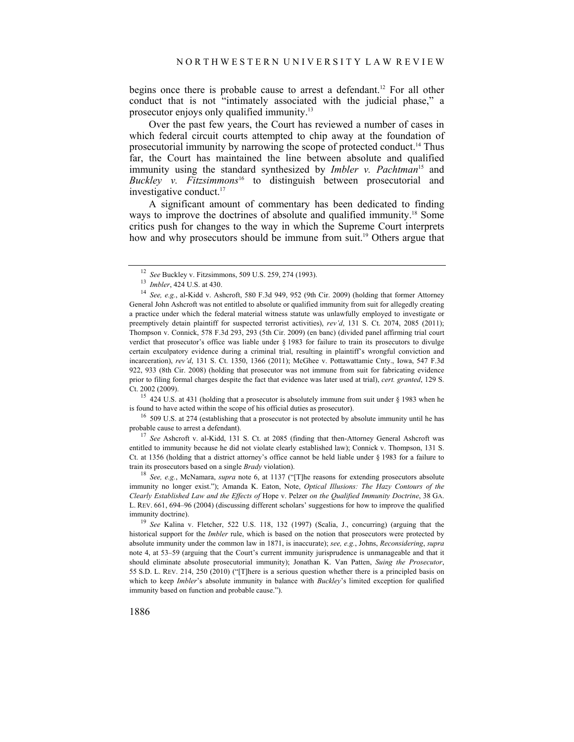begins once there is probable cause to arrest a defendant.<sup>12</sup> For all other conduct that is not "intimately associated with the judicial phase," a prosecutor enjoys only qualified immunity.13

Over the past few years, the Court has reviewed a number of cases in which federal circuit courts attempted to chip away at the foundation of prosecutorial immunity by narrowing the scope of protected conduct.14 Thus far, the Court has maintained the line between absolute and qualified immunity using the standard synthesized by *Imbler v. Pachtman*<sup>15</sup> and *Buckley v. Fitzsimmons*16 to distinguish between prosecutorial and investigative conduct.<sup>17</sup>

A significant amount of commentary has been dedicated to finding ways to improve the doctrines of absolute and qualified immunity.18 Some critics push for changes to the way in which the Supreme Court interprets how and why prosecutors should be immune from suit.<sup>19</sup> Others argue that

is found to have acted within the scope of his official duties as prosecutor).<br><sup>16</sup> 509 U.S. at 274 (establishing that a prosecutor is not protected by absolute immunity until he has

probable cause to arrest a defendant). 17 *See* Ashcroft v. al-Kidd, 131 S. Ct. at 2085 (finding that then-Attorney General Ashcroft was

entitled to immunity because he did not violate clearly established law); Connick v. Thompson, 131 S. Ct. at 1356 (holding that a district attorney's office cannot be held liable under § 1983 for a failure to train its prosecutors based on a single *Brady* violation). 18 *See, e.g.*, McNamara, *supra* note 6, at 1137 ("[T]he reasons for extending prosecutors absolute

immunity no longer exist."); Amanda K. Eaton, Note, *Optical Illusions: The Hazy Contours of the Clearly Established Law and the Effects of* Hope v. Pelzer *on the Qualified Immunity Doctrine*, 38 GA. L. REV. 661, 694–96 (2004) (discussing different scholars' suggestions for how to improve the qualified immunity doctrine). 19 *See* Kalina v. Fletcher, 522 U.S. 118, 132 (1997) (Scalia, J., concurring) (arguing that the

historical support for the *Imbler* rule, which is based on the notion that prosecutors were protected by absolute immunity under the common law in 1871, is inaccurate); *see, e.g.*, Johns, *Reconsidering*, *supra*  note 4, at 53–59 (arguing that the Court's current immunity jurisprudence is unmanageable and that it should eliminate absolute prosecutorial immunity); Jonathan K. Van Patten, *Suing the Prosecutor*, 55 S.D. L. REV. 214, 250 (2010) ("[T]here is a serious question whether there is a principled basis on which to keep *Imbler*'s absolute immunity in balance with *Buckley*'s limited exception for qualified immunity based on function and probable cause.").

<sup>12</sup>*See* Buckley v. Fitzsimmons, 509 U.S. 259, 274 (1993). 13 *Imbler*, 424 U.S. at 430. 14 *See, e.g.*, al-Kidd v. Ashcroft, 580 F.3d 949, 952 (9th Cir. 2009) (holding that former Attorney General John Ashcroft was not entitled to absolute or qualified immunity from suit for allegedly creating a practice under which the federal material witness statute was unlawfully employed to investigate or preemptively detain plaintiff for suspected terrorist activities), *rev'd*, 131 S. Ct. 2074, 2085 (2011); Thompson v. Connick, 578 F.3d 293, 293 (5th Cir. 2009) (en banc) (divided panel affirming trial court verdict that prosecutor's office was liable under § 1983 for failure to train its prosecutors to divulge certain exculpatory evidence during a criminal trial, resulting in plaintiff's wrongful conviction and incarceration), *rev'd*, 131 S. Ct. 1350, 1366 (2011); McGhee v. Pottawattamie Cnty., Iowa, 547 F.3d 922, 933 (8th Cir. 2008) (holding that prosecutor was not immune from suit for fabricating evidence prior to filing formal charges despite the fact that evidence was later used at trial), *cert. granted*, 129 S. Ct. 2002 (2009). 15 424 U.S. at 431 (holding that a prosecutor is absolutely immune from suit under § 1983 when he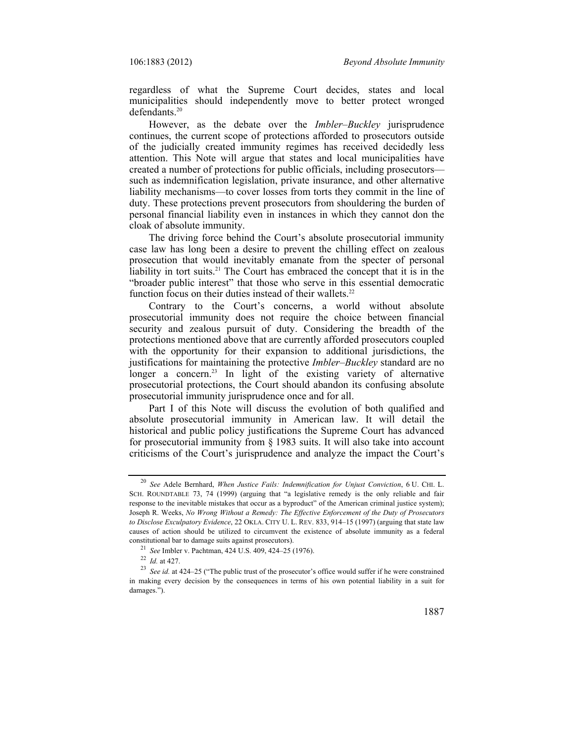regardless of what the Supreme Court decides, states and local municipalities should independently move to better protect wronged defendants.20

However, as the debate over the *Imbler*–*Buckley* jurisprudence continues, the current scope of protections afforded to prosecutors outside of the judicially created immunity regimes has received decidedly less attention. This Note will argue that states and local municipalities have created a number of protections for public officials, including prosecutors such as indemnification legislation, private insurance, and other alternative liability mechanisms—to cover losses from torts they commit in the line of duty. These protections prevent prosecutors from shouldering the burden of personal financial liability even in instances in which they cannot don the cloak of absolute immunity.

The driving force behind the Court's absolute prosecutorial immunity case law has long been a desire to prevent the chilling effect on zealous prosecution that would inevitably emanate from the specter of personal liability in tort suits.<sup>21</sup> The Court has embraced the concept that it is in the "broader public interest" that those who serve in this essential democratic function focus on their duties instead of their wallets.<sup>22</sup>

Contrary to the Court's concerns, a world without absolute prosecutorial immunity does not require the choice between financial security and zealous pursuit of duty. Considering the breadth of the protections mentioned above that are currently afforded prosecutors coupled with the opportunity for their expansion to additional jurisdictions, the justifications for maintaining the protective *Imbler*–*Buckley* standard are no longer a concern.<sup>23</sup> In light of the existing variety of alternative prosecutorial protections, the Court should abandon its confusing absolute prosecutorial immunity jurisprudence once and for all.

Part I of this Note will discuss the evolution of both qualified and absolute prosecutorial immunity in American law. It will detail the historical and public policy justifications the Supreme Court has advanced for prosecutorial immunity from  $\S$  1983 suits. It will also take into account criticisms of the Court's jurisprudence and analyze the impact the Court's

<sup>20</sup> *See* Adele Bernhard, *When Justice Fails: Indemnification for Unjust Conviction*, 6 U. CHI. L. SCH. ROUNDTABLE 73, 74 (1999) (arguing that "a legislative remedy is the only reliable and fair response to the inevitable mistakes that occur as a byproduct" of the American criminal justice system); Joseph R. Weeks, *No Wrong Without a Remedy: The Effective Enforcement of the Duty of Prosecutors to Disclose Exculpatory Evidence*, 22 OKLA. CITY U. L. REV. 833, 914–15 (1997) (arguing that state law causes of action should be utilized to circumvent the existence of absolute immunity as a federal constitutional bar to damage suits against prosecutors).<br>
<sup>21</sup> See Imbler v. Pachtman, 424 U.S. 409, 424–25 (1976).<br>
<sup>22</sup> Id. at 427.<br>
<sup>23</sup> See id. at 424–25 ("The public trust of the prosecutor's office would suffer if h

in making every decision by the consequences in terms of his own potential liability in a suit for damages.").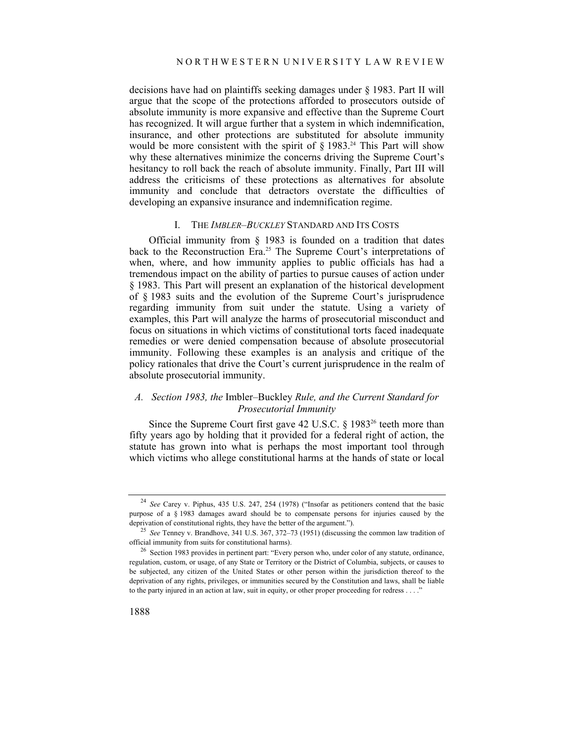decisions have had on plaintiffs seeking damages under § 1983. Part II will argue that the scope of the protections afforded to prosecutors outside of absolute immunity is more expansive and effective than the Supreme Court has recognized. It will argue further that a system in which indemnification, insurance, and other protections are substituted for absolute immunity would be more consistent with the spirit of  $\delta$  1983.<sup>24</sup> This Part will show why these alternatives minimize the concerns driving the Supreme Court's hesitancy to roll back the reach of absolute immunity. Finally, Part III will address the criticisms of these protections as alternatives for absolute immunity and conclude that detractors overstate the difficulties of developing an expansive insurance and indemnification regime.

#### I. THE *IMBLER–BUCKLEY* STANDARD AND ITS COSTS

Official immunity from § 1983 is founded on a tradition that dates back to the Reconstruction Era.<sup>25</sup> The Supreme Court's interpretations of when, where, and how immunity applies to public officials has had a tremendous impact on the ability of parties to pursue causes of action under § 1983. This Part will present an explanation of the historical development of § 1983 suits and the evolution of the Supreme Court's jurisprudence regarding immunity from suit under the statute. Using a variety of examples, this Part will analyze the harms of prosecutorial misconduct and focus on situations in which victims of constitutional torts faced inadequate remedies or were denied compensation because of absolute prosecutorial immunity. Following these examples is an analysis and critique of the policy rationales that drive the Court's current jurisprudence in the realm of absolute prosecutorial immunity.

## *A. Section 1983, the* Imbler–Buckley *Rule, and the Current Standard for Prosecutorial Immunity*

Since the Supreme Court first gave 42 U.S.C. § 1983<sup>26</sup> teeth more than fifty years ago by holding that it provided for a federal right of action, the statute has grown into what is perhaps the most important tool through which victims who allege constitutional harms at the hands of state or local

<sup>24</sup> *See* Carey v. Piphus, 435 U.S. 247, 254 (1978) ("Insofar as petitioners contend that the basic purpose of a § 1983 damages award should be to compensate persons for injuries caused by the

deprivation of constitutional rights, they have the better of the argument.").<br><sup>25</sup> *See* Tenney v. Brandhove, 341 U.S. 367, 372–73 (1951) (discussing the common law tradition of official immunity from suits for constituti

 $^{26}$  Section 1983 provides in pertinent part: "Every person who, under color of any statute, ordinance, regulation, custom, or usage, of any State or Territory or the District of Columbia, subjects, or causes to be subjected, any citizen of the United States or other person within the jurisdiction thereof to the deprivation of any rights, privileges, or immunities secured by the Constitution and laws, shall be liable to the party injured in an action at law, suit in equity, or other proper proceeding for redress . . . ."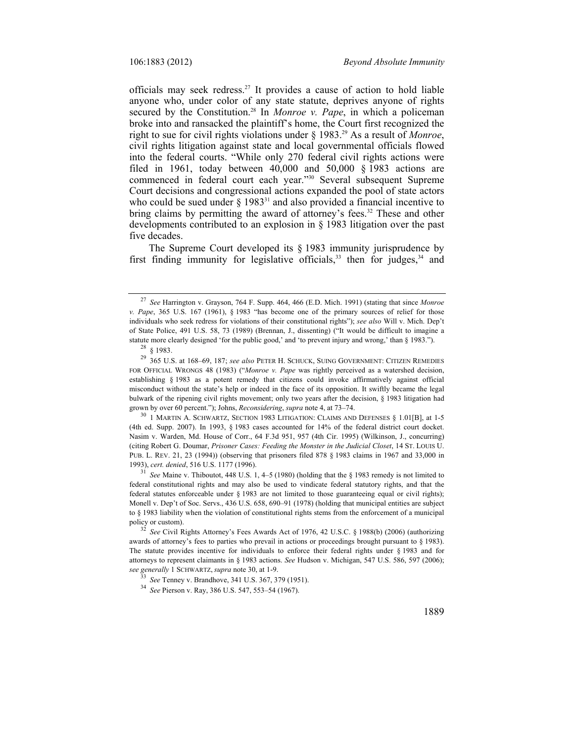officials may seek redress.27 It provides a cause of action to hold liable anyone who, under color of any state statute, deprives anyone of rights secured by the Constitution.<sup>28</sup> In *Monroe v. Pape*, in which a policeman broke into and ransacked the plaintiff's home, the Court first recognized the right to sue for civil rights violations under § 1983.29 As a result of *Monroe*, civil rights litigation against state and local governmental officials flowed into the federal courts. "While only 270 federal civil rights actions were filed in 1961, today between  $40,000$  and  $50,000$   $\&$  1983 actions are commenced in federal court each year."30 Several subsequent Supreme Court decisions and congressional actions expanded the pool of state actors who could be sued under  $\S$  1983<sup>31</sup> and also provided a financial incentive to bring claims by permitting the award of attorney's fees.<sup>32</sup> These and other developments contributed to an explosion in § 1983 litigation over the past five decades.

The Supreme Court developed its § 1983 immunity jurisprudence by first finding immunity for legislative officials,  $33$  then for judges,  $34$  and

<sup>27</sup> *See* Harrington v. Grayson, 764 F. Supp. 464, 466 (E.D. Mich. 1991) (stating that since *Monroe v. Pape*, 365 U.S. 167 (1961), § 1983 "has become one of the primary sources of relief for those individuals who seek redress for violations of their constitutional rights"); *see also* Will v. Mich. Dep't of State Police, 491 U.S. 58, 73 (1989) (Brennan, J., dissenting) ("It would be difficult to imagine a statute more clearly designed 'for the public good,' and 'to prevent injury and wrong,' than § 1983."). <sup>28</sup>  $\frac{8}{1983}$ .

<sup>29 365</sup> U.S. at 168–69, 187; *see also* PETER H. SCHUCK, SUING GOVERNMENT: CITIZEN REMEDIES FOR OFFICIAL WRONGS 48 (1983) ("*Monroe v. Pape* was rightly perceived as a watershed decision, establishing § 1983 as a potent remedy that citizens could invoke affirmatively against official misconduct without the state's help or indeed in the face of its opposition. It swiftly became the legal bulwark of the ripening civil rights movement; only two years after the decision, § 1983 litigation had grown by over 60 percent."); Johns, *Reconsidering*, *supra* note 4, at 73–74.<br><sup>30</sup> 1 MARTIN A. SCHWARTZ, SECTION 1983 LITIGATION: CLAIMS AND DEFENSES § 1.01[B], at 1-5

<sup>(4</sup>th ed. Supp. 2007). In 1993, § 1983 cases accounted for 14% of the federal district court docket. Nasim v. Warden, Md. House of Corr., 64 F.3d 951, 957 (4th Cir. 1995) (Wilkinson, J., concurring) (citing Robert G. Doumar, *Prisoner Cases: Feeding the Monster in the Judicial Closet*, 14 ST. LOUIS U. PUB. L. REV. 21, 23 (1994)) (observing that prisoners filed 878 § 1983 claims in 1967 and 33,000 in 1993), *cert. denied*, 516 U.S. 1177 (1996). 31 *See* Maine v. Thiboutot, 448 U.S. 1, 4–5 (1980) (holding that the § 1983 remedy is not limited to

federal constitutional rights and may also be used to vindicate federal statutory rights, and that the federal statutes enforceable under § 1983 are not limited to those guaranteeing equal or civil rights); Monell v. Dep't of Soc. Servs., 436 U.S. 658, 690–91 (1978) (holding that municipal entities are subject to § 1983 liability when the violation of constitutional rights stems from the enforcement of a municipal policy or custom). 32 *See* Civil Rights Attorney's Fees Awards Act of 1976, 42 U.S.C. § 1988(b) (2006) (authorizing

awards of attorney's fees to parties who prevail in actions or proceedings brought pursuant to § 1983). The statute provides incentive for individuals to enforce their federal rights under § 1983 and for attorneys to represent claimants in § 1983 actions. *See* Hudson v. Michigan, 547 U.S. 586, 597 (2006); *see generally* 1 SCHWARTZ, *supra* note 30, at 1-9. 33 *See* Tenney v. Brandhove, 341 U.S. 367, 379 (1951). 34 *See* Pierson v. Ray, 386 U.S. 547, 553–54 (1967).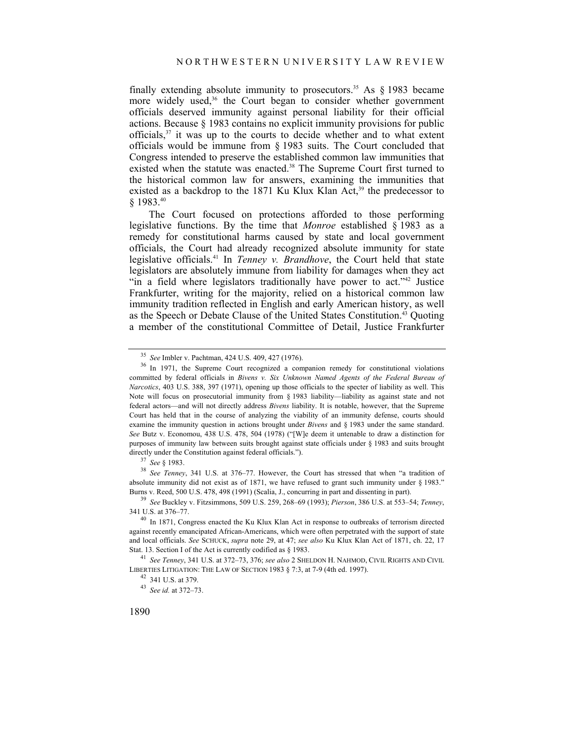finally extending absolute immunity to prosecutors.<sup>35</sup> As  $\&$  1983 became more widely used,<sup>36</sup> the Court began to consider whether government officials deserved immunity against personal liability for their official actions. Because § 1983 contains no explicit immunity provisions for public officials, $37$  it was up to the courts to decide whether and to what extent officials would be immune from § 1983 suits. The Court concluded that Congress intended to preserve the established common law immunities that existed when the statute was enacted.<sup>38</sup> The Supreme Court first turned to the historical common law for answers, examining the immunities that existed as a backdrop to the 1871 Ku Klux Klan  $Act^{39}$  the predecessor to § 1983.40

The Court focused on protections afforded to those performing legislative functions. By the time that *Monroe* established § 1983 as a remedy for constitutional harms caused by state and local government officials, the Court had already recognized absolute immunity for state legislative officials.41 In *Tenney v. Brandhove*, the Court held that state legislators are absolutely immune from liability for damages when they act "in a field where legislators traditionally have power to act."<sup>42</sup> Justice Frankfurter, writing for the majority, relied on a historical common law immunity tradition reflected in English and early American history, as well as the Speech or Debate Clause of the United States Constitution.<sup>43</sup> Quoting a member of the constitutional Committee of Detail, Justice Frankfurter

absolute immunity did not exist as of 1871, we have refused to grant such immunity under § 1983."

Burns v. Reed, 500 U.S. 478, 498 (1991) (Scalia, J., concurring in part and dissenting in part). 39 *See* Buckley v. Fitzsimmons, 509 U.S. 259, 268–69 (1993); *Pierson*, 386 U.S. at 553–54; *Tenney*,

LIBERTIES LITIGATION: THE LAW OF SECTION 1983 § 7:3, at 7-9 (4th ed. 1997).<br><sup>42</sup> 341 U.S. at 379.

<sup>&</sup>lt;sup>35</sup> See Imbler v. Pachtman, 424 U.S. 409, 427 (1976).<br><sup>36</sup> In 1971, the Supreme Court recognized a companion remedy for constitutional violations committed by federal officials in *Bivens v. Six Unknown Named Agents of the Federal Bureau of Narcotics*, 403 U.S. 388, 397 (1971), opening up those officials to the specter of liability as well. This Note will focus on prosecutorial immunity from § 1983 liability—liability as against state and not federal actors—and will not directly address *Bivens* liability. It is notable, however, that the Supreme Court has held that in the course of analyzing the viability of an immunity defense, courts should examine the immunity question in actions brought under *Bivens* and § 1983 under the same standard. *See* Butz v. Economou, 438 U.S. 478, 504 (1978) ("[W]e deem it untenable to draw a distinction for purposes of immunity law between suits brought against state officials under § 1983 and suits brought directly under the Constitution against federal officials.").<br><sup>37</sup> *See* § 1983.<br><sup>38</sup> *See Tenney*, 341 U.S. at 376–77. However, the Court has stressed that when "a tradition of

 $40$  In 1871, Congress enacted the Ku Klux Klan Act in response to outbreaks of terrorism directed against recently emancipated African-Americans, which were often perpetrated with the support of state and local officials. *See* SCHUCK, *supra* note 29, at 47; *see also* Ku Klux Klan Act of 1871, ch. 22, 17 Stat. 13. Section I of the Act is currently codified as § 1983. 41 *See Tenney*, 341 U.S. at 372–73, 376; *see also* 2 SHELDON H. NAHMOD, CIVIL RIGHTS AND CIVIL

<sup>43</sup> *See id.* at 372–73.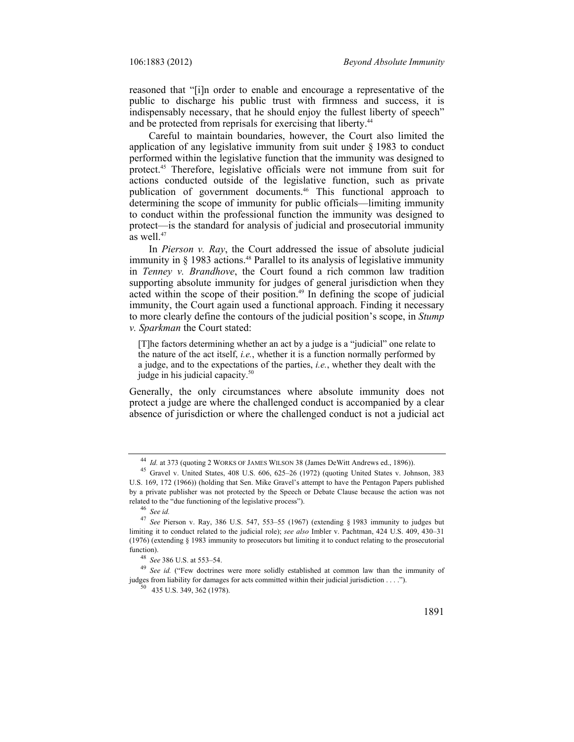reasoned that "[i]n order to enable and encourage a representative of the public to discharge his public trust with firmness and success, it is indispensably necessary, that he should enjoy the fullest liberty of speech" and be protected from reprisals for exercising that liberty.<sup>44</sup>

Careful to maintain boundaries, however, the Court also limited the application of any legislative immunity from suit under § 1983 to conduct performed within the legislative function that the immunity was designed to protect.45 Therefore, legislative officials were not immune from suit for actions conducted outside of the legislative function, such as private publication of government documents.46 This functional approach to determining the scope of immunity for public officials—limiting immunity to conduct within the professional function the immunity was designed to protect—is the standard for analysis of judicial and prosecutorial immunity as well. $47$ 

In *Pierson v. Ray*, the Court addressed the issue of absolute judicial immunity in  $\S$  1983 actions.<sup>48</sup> Parallel to its analysis of legislative immunity in *Tenney v. Brandhove*, the Court found a rich common law tradition supporting absolute immunity for judges of general jurisdiction when they acted within the scope of their position.<sup>49</sup> In defining the scope of judicial immunity, the Court again used a functional approach. Finding it necessary to more clearly define the contours of the judicial position's scope, in *Stump v. Sparkman* the Court stated:

[T]he factors determining whether an act by a judge is a "judicial" one relate to the nature of the act itself, *i.e.*, whether it is a function normally performed by a judge, and to the expectations of the parties, *i.e.*, whether they dealt with the judge in his judicial capacity.<sup>50</sup>

Generally, the only circumstances where absolute immunity does not protect a judge are where the challenged conduct is accompanied by a clear absence of jurisdiction or where the challenged conduct is not a judicial act

<sup>&</sup>lt;sup>44</sup> *Id.* at 373 (quoting 2 WORKS OF JAMES WILSON 38 (James DeWitt Andrews ed., 1896)).<br><sup>45</sup> Gravel v. United States, 408 U.S. 606, 625–26 (1972) (quoting United States v. Johnson, 383 U.S. 169, 172 (1966)) (holding that Sen. Mike Gravel's attempt to have the Pentagon Papers published by a private publisher was not protected by the Speech or Debate Clause because the action was not related to the "due functioning of the legislative process"). 46 *See id.*

<sup>47</sup> *See* Pierson v. Ray, 386 U.S. 547, 553–55 (1967) (extending § 1983 immunity to judges but limiting it to conduct related to the judicial role); *see also* Imbler v. Pachtman, 424 U.S. 409, 430–31 (1976) (extending § 1983 immunity to prosecutors but limiting it to conduct relating to the prosecutorial

<sup>&</sup>lt;sup>48</sup> *See* 386 U.S. at 553–54. <br><sup>49</sup> *See id.* ("Few doctrines were more solidly established at common law than the immunity of judges from liability for damages for acts committed within their judicial jurisdiction . . . ."). 50 435 U.S. 349, 362 (1978).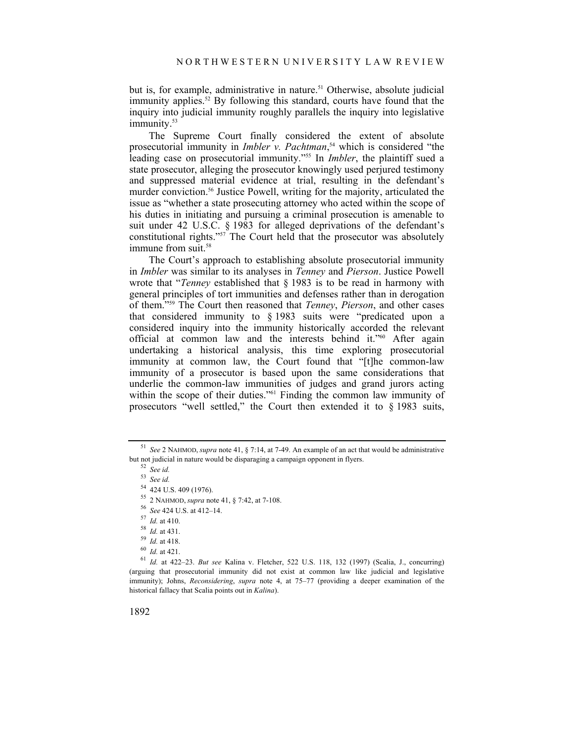but is, for example, administrative in nature.<sup>51</sup> Otherwise, absolute judicial immunity applies.<sup>52</sup> By following this standard, courts have found that the inquiry into judicial immunity roughly parallels the inquiry into legislative immunity.<sup>53</sup>

The Supreme Court finally considered the extent of absolute prosecutorial immunity in *Imbler v. Pachtman*, 54 which is considered "the leading case on prosecutorial immunity."55 In *Imbler*, the plaintiff sued a state prosecutor, alleging the prosecutor knowingly used perjured testimony and suppressed material evidence at trial, resulting in the defendant's murder conviction.<sup>56</sup> Justice Powell, writing for the majority, articulated the issue as "whether a state prosecuting attorney who acted within the scope of his duties in initiating and pursuing a criminal prosecution is amenable to suit under 42 U.S.C. § 1983 for alleged deprivations of the defendant's constitutional rights." $57$  The Court held that the prosecutor was absolutely immune from suit.<sup>58</sup>

The Court's approach to establishing absolute prosecutorial immunity in *Imbler* was similar to its analyses in *Tenney* and *Pierson*. Justice Powell wrote that "*Tenney* established that § 1983 is to be read in harmony with general principles of tort immunities and defenses rather than in derogation of them."59 The Court then reasoned that *Tenney*, *Pierson*, and other cases that considered immunity to § 1983 suits were "predicated upon a considered inquiry into the immunity historically accorded the relevant official at common law and the interests behind it."60 After again undertaking a historical analysis, this time exploring prosecutorial immunity at common law, the Court found that "[t]he common-law immunity of a prosecutor is based upon the same considerations that underlie the common-law immunities of judges and grand jurors acting within the scope of their duties."<sup>61</sup> Finding the common law immunity of prosecutors "well settled," the Court then extended it to § 1983 suits,

- 
- 

<sup>51</sup> *See* 2 NAHMOD, *supra* note 41, § 7:14, at 7-49. An example of an act that would be administrative but not judicial in nature would be disparaging a campaign opponent in flyers. 52 *See id.*

<sup>53</sup> *See id.*

<sup>&</sup>lt;sup>54</sup> 424 U.S. 409 (1976).<br><sup>55</sup> 2 NAHMOD, *supra* note 41, § 7:42, at 7-108.

<sup>&</sup>lt;sup>56</sup> See 424 U.S. at 412–14.<br>
<sup>57</sup> *Id.* at 410.<br>
<sup>58</sup> *Id.* at 431.<br>
<sup>59</sup> *Id.* at 418.<br>
<sup>60</sup> *Id.* at 421.<br>
<sup>61</sup> *Id.* at 422–23. *But see* Kalina v. Fletcher, 522 U.S. 118, 132 (1997) (Scalia, J., concurring) (arguing that prosecutorial immunity did not exist at common law like judicial and legislative immunity); Johns, *Reconsidering*, *supra* note 4, at 75–77 (providing a deeper examination of the historical fallacy that Scalia points out in *Kalina*).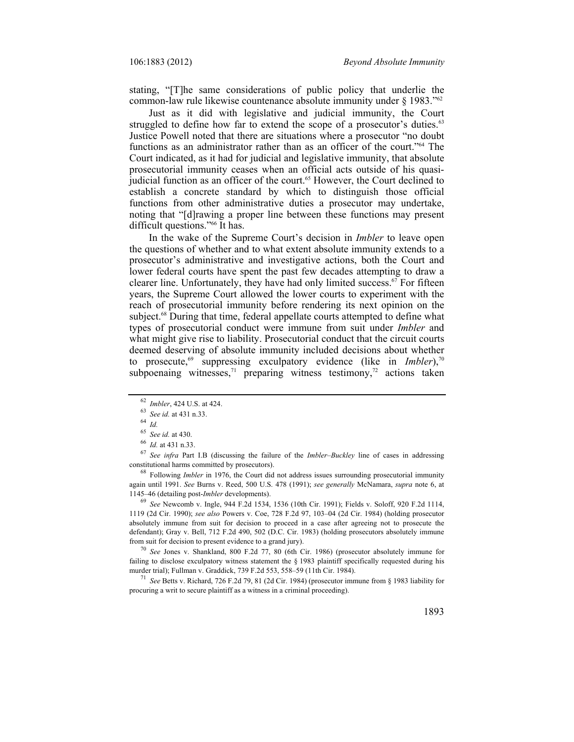stating, "[T]he same considerations of public policy that underlie the common-law rule likewise countenance absolute immunity under § 1983."62

Just as it did with legislative and judicial immunity, the Court struggled to define how far to extend the scope of a prosecutor's duties.<sup>63</sup> Justice Powell noted that there are situations where a prosecutor "no doubt functions as an administrator rather than as an officer of the court."64 The Court indicated, as it had for judicial and legislative immunity, that absolute prosecutorial immunity ceases when an official acts outside of his quasijudicial function as an officer of the court.65 However, the Court declined to establish a concrete standard by which to distinguish those official functions from other administrative duties a prosecutor may undertake, noting that "[d]rawing a proper line between these functions may present difficult questions."66 It has.

In the wake of the Supreme Court's decision in *Imbler* to leave open the questions of whether and to what extent absolute immunity extends to a prosecutor's administrative and investigative actions, both the Court and lower federal courts have spent the past few decades attempting to draw a clearer line. Unfortunately, they have had only limited success.<sup> $67$ </sup> For fifteen years, the Supreme Court allowed the lower courts to experiment with the reach of prosecutorial immunity before rendering its next opinion on the subject.68 During that time, federal appellate courts attempted to define what types of prosecutorial conduct were immune from suit under *Imbler* and what might give rise to liability. Prosecutorial conduct that the circuit courts deemed deserving of absolute immunity included decisions about whether to prosecute,<sup>69</sup> suppressing exculpatory evidence (like in *Imbler*),<sup>70</sup> subpoenaing witnesses,<sup>71</sup> preparing witness testimony,<sup>72</sup> actions taken

<sup>65</sup>*See id.* at 430. 66 *Id.* at 431 n.33. 67 *See infra* Part I.B (discussing the failure of the *Imbler*–*Buckley* line of cases in addressing constitutional harms committed by prosecutors). 68 Following *Imbler* in 1976, the Court did not address issues surrounding prosecutorial immunity

again until 1991. *See* Burns v. Reed, 500 U.S. 478 (1991); *see generally* McNamara, *supra* note 6, at

<sup>69</sup> *See* Newcomb v. Ingle, 944 F.2d 1534, 1536 (10th Cir. 1991); Fields v. Soloff, 920 F.2d 1114, 1119 (2d Cir. 1990); *see also* Powers v. Coe, 728 F.2d 97, 103–04 (2d Cir. 1984) (holding prosecutor absolutely immune from suit for decision to proceed in a case after agreeing not to prosecute the defendant); Gray v. Bell, 712 F.2d 490, 502 (D.C. Cir. 1983) (holding prosecutors absolutely immune from suit for decision to present evidence to a grand jury). 70 *See* Jones v. Shankland, 800 F.2d 77, 80 (6th Cir. 1986) (prosecutor absolutely immune for

failing to disclose exculpatory witness statement the § 1983 plaintiff specifically requested during his murder trial); Fullman v. Graddick, 739 F.2d 553, 558–59 (11th Cir. 1984). 71 *See* Betts v. Richard, 726 F.2d 79, 81 (2d Cir. 1984) (prosecutor immune from § 1983 liability for

procuring a writ to secure plaintiff as a witness in a criminal proceeding).

<sup>62</sup>*Imbler*, 424 U.S. at 424. 63 *See id.* at 431 n.33. 64 *Id.*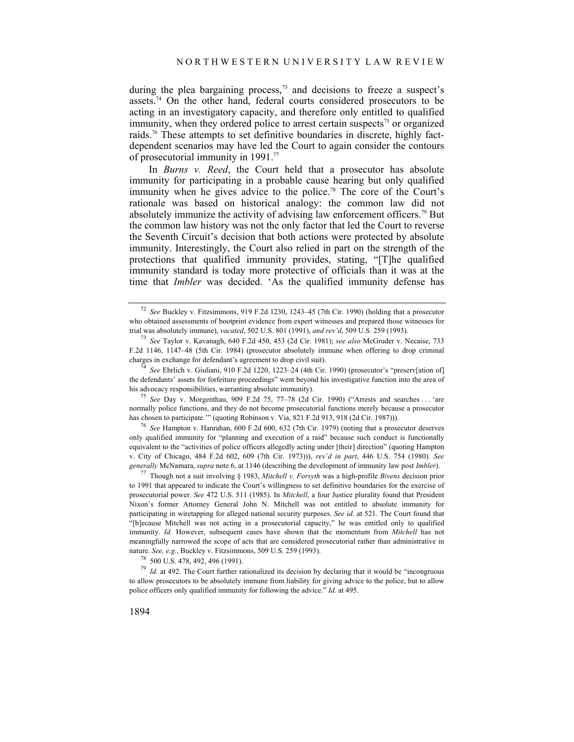during the plea bargaining process, $73$  and decisions to freeze a suspect's assets.<sup>74</sup> On the other hand, federal courts considered prosecutors to be acting in an investigatory capacity, and therefore only entitled to qualified immunity, when they ordered police to arrest certain suspects<sup> $75$ </sup> or organized raids.76 These attempts to set definitive boundaries in discrete, highly factdependent scenarios may have led the Court to again consider the contours of prosecutorial immunity in 1991.77

In *Burns v. Reed*, the Court held that a prosecutor has absolute immunity for participating in a probable cause hearing but only qualified immunity when he gives advice to the police.<sup>78</sup> The core of the Court's rationale was based on historical analogy: the common law did not absolutely immunize the activity of advising law enforcement officers.79 But the common law history was not the only factor that led the Court to reverse the Seventh Circuit's decision that both actions were protected by absolute immunity. Interestingly, the Court also relied in part on the strength of the protections that qualified immunity provides, stating, "[T]he qualified immunity standard is today more protective of officials than it was at the time that *Imbler* was decided. 'As the qualified immunity defense has

normally police functions, and they do not become prosecutorial functions merely because a prosecutor has chosen to participate." (quoting Robinson v. Via, 821 F.2d 913, 918 (2d Cir. 1987))).

<sup>76</sup> See Hampton v. Hanrahan, 600 F.2d 600, 632 (7th Cir. 1979) (noting that a prosecutor deserves only qualified immunity for "planning and execution of a raid" because such conduct is functionally equivalent to the "activities of police officers allegedly acting under [their] direction" (quoting Hampton v. City of Chicago, 484 F.2d 602, 609 (7th Cir. 1973))), *rev'd in part*, 446 U.S. 754 (1980). *See* 

<sup>77</sup> Though not a suit involving § 1983, *Mitchell v. Forsyth* was a high-profile *Bivens* decision prior to 1991 that appeared to indicate the Court's willingness to set definitive boundaries for the exercise of prosecutorial power. *See* 472 U.S. 511 (1985). In *Mitchell*, a four Justice plurality found that President Nixon's former Attorney General John N. Mitchell was not entitled to absolute immunity for participating in wiretapping for alleged national security purposes. *See id.* at 521. The Court found that "[b]ecause Mitchell was not acting in a prosecutorial capacity," he was entitled only to qualified immunity. *Id.* However, subsequent cases have shown that the momentum from *Mitchell* has not meaningfully narrowed the scope of acts that are considered prosecutorial rather than administrative in nature. *See, e.g.*, Buckley v. Fitzsimmons, 509 U.S. 259 (1993).<br><sup>78</sup> 500 U.S. 478, 492, 496 (1991).

79 *Id.* at 492. The Court further rationalized its decision by declaring that it would be "incongruous to allow prosecutors to be absolutely immune from liability for giving advice to the police, but to allow police officers only qualified immunity for following the advice." *Id.* at 495.

<sup>72</sup> *See* Buckley v. Fitzsimmons, 919 F.2d 1230, 1243–45 (7th Cir. 1990) (holding that a prosecutor who obtained assessments of bootprint evidence from expert witnesses and prepared those witnesses for trial was absolutely immune), vacated, 502 U.S. 801 (1991), and rev'd, 509 U.S. 259 (1993).

<sup>&</sup>lt;sup>73</sup> See Taylor v. Kavanagh, 640 F.2d 450, 453 (2d Cir. 1981); *see also* McGruder v. Necaise, 733 F.2d 1146, 1147–48 (5th Cir. 1984) (prosecutor absolutely immune when offering to drop criminal charges in exchange for defendant's agreement to drop civil suit). 74 *See* Ehrlich v. Giuliani, 910 F.2d 1220, 1223–24 (4th Cir. 1990) (prosecutor's "preserv[ation of]

the defendants' assets for forfeiture proceedings" went beyond his investigative function into the area of his advocacy responsibilities, warranting absolute immunity). 75 *See* Day v. Morgenthau, 909 F.2d 75, 77–78 (2d Cir. 1990) ("Arrests and searches . . . 'are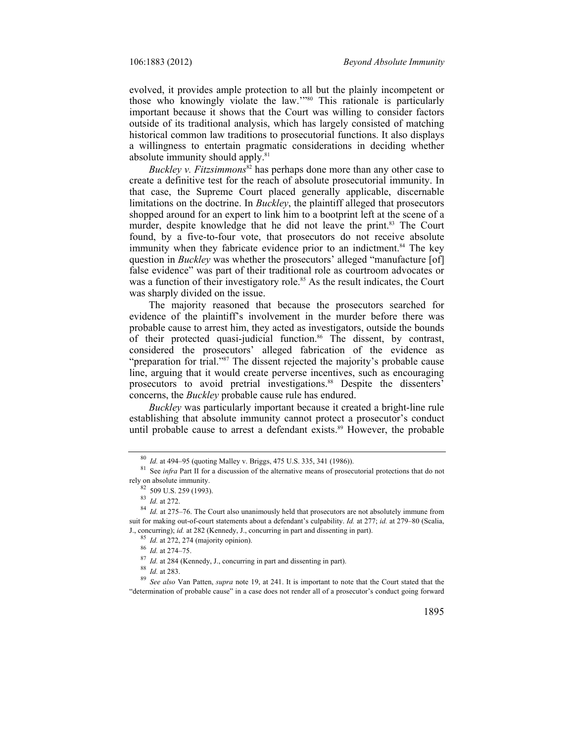evolved, it provides ample protection to all but the plainly incompetent or those who knowingly violate the law.'"80 This rationale is particularly important because it shows that the Court was willing to consider factors outside of its traditional analysis, which has largely consisted of matching historical common law traditions to prosecutorial functions. It also displays a willingness to entertain pragmatic considerations in deciding whether absolute immunity should apply.<sup>81</sup>

*Buckley v. Fitzsimmons*<sup>82</sup> has perhaps done more than any other case to create a definitive test for the reach of absolute prosecutorial immunity. In that case, the Supreme Court placed generally applicable, discernable limitations on the doctrine. In *Buckley*, the plaintiff alleged that prosecutors shopped around for an expert to link him to a bootprint left at the scene of a murder, despite knowledge that he did not leave the print.<sup>83</sup> The Court found, by a five-to-four vote, that prosecutors do not receive absolute immunity when they fabricate evidence prior to an indictment.<sup>84</sup> The key question in *Buckley* was whether the prosecutors' alleged "manufacture [of] false evidence" was part of their traditional role as courtroom advocates or was a function of their investigatory role.<sup>85</sup> As the result indicates, the Court was sharply divided on the issue.

The majority reasoned that because the prosecutors searched for evidence of the plaintiff's involvement in the murder before there was probable cause to arrest him, they acted as investigators, outside the bounds of their protected quasi-judicial function.<sup>86</sup> The dissent, by contrast, considered the prosecutors' alleged fabrication of the evidence as "preparation for trial."<sup>87</sup> The dissent rejected the majority's probable cause line, arguing that it would create perverse incentives, such as encouraging prosecutors to avoid pretrial investigations.<sup>88</sup> Despite the dissenters' concerns, the *Buckley* probable cause rule has endured.

*Buckley* was particularly important because it created a bright-line rule establishing that absolute immunity cannot protect a prosecutor's conduct until probable cause to arrest a defendant exists.<sup>89</sup> However, the probable

<sup>85</sup> *Id.* at 272, 274 (majority opinion).<br><sup>86</sup> *Id.* at 274–75.<br><sup>87</sup> *Id.* at 284 (Kennedy, J., concurring in part and dissenting in part).<br><sup>88</sup> *Id.* at 283.<br><sup>89</sup> *See also* Van Patten, *supra* note 19, at 241. It is im "determination of probable cause" in a case does not render all of a prosecutor's conduct going forward

<sup>&</sup>lt;sup>80</sup> *Id.* at 494–95 (quoting Malley v. Briggs, 475 U.S. 335, 341 (1986)).<br><sup>81</sup> See *infra* Part II for a discussion of the alternative means of prosecutorial protections that do not rely on absolute immunity.

 $\frac{82}{83}$  509 U.S. 259 (1993).<br> $\frac{83}{64}$  *Id.* at 272.

<sup>&</sup>lt;sup>84</sup> *Id.* at 275–76. The Court also unanimously held that prosecutors are not absolutely immune from suit for making out-of-court statements about a defendant's culpability. *Id.* at 277; *id.* at 279–80 (Scalia, J., concurring); *id.* at 282 (Kennedy, J., concurring in part and dissenting in part).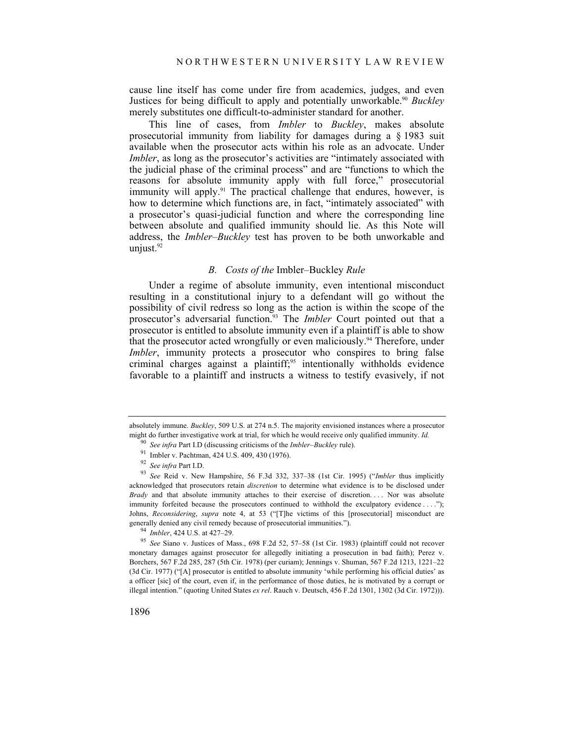cause line itself has come under fire from academics, judges, and even Justices for being difficult to apply and potentially unworkable.<sup>90</sup> *Buckley* merely substitutes one difficult-to-administer standard for another.

This line of cases, from *Imbler* to *Buckley*, makes absolute prosecutorial immunity from liability for damages during a § 1983 suit available when the prosecutor acts within his role as an advocate. Under *Imbler*, as long as the prosecutor's activities are "intimately associated with the judicial phase of the criminal process" and are "functions to which the reasons for absolute immunity apply with full force," prosecutorial immunity will apply.<sup>91</sup> The practical challenge that endures, however, is how to determine which functions are, in fact, "intimately associated" with a prosecutor's quasi-judicial function and where the corresponding line between absolute and qualified immunity should lie. As this Note will address, the *Imbler–Buckley* test has proven to be both unworkable and unjust.<sup>92</sup>

#### *B. Costs of the* Imbler–Buckley *Rule*

Under a regime of absolute immunity, even intentional misconduct resulting in a constitutional injury to a defendant will go without the possibility of civil redress so long as the action is within the scope of the prosecutor's adversarial function.93 The *Imbler* Court pointed out that a prosecutor is entitled to absolute immunity even if a plaintiff is able to show that the prosecutor acted wrongfully or even maliciously.<sup>94</sup> Therefore, under *Imbler*, immunity protects a prosecutor who conspires to bring false criminal charges against a plaintiff;<sup>95</sup> intentionally withholds evidence favorable to a plaintiff and instructs a witness to testify evasively, if not

absolutely immune. *Buckley*, 509 U.S. at 274 n.5. The majority envisioned instances where a prosecutor might do further investigative work at trial, for which he would receive only qualified immunity. *Id.*

<sup>90</sup>*See infra* Part I.D (discussing criticisms of the *Imbler*–*Buckley* rule). 91 Imbler v. Pachtman, 424 U.S. 409, 430 (1976).

<sup>&</sup>lt;sup>93</sup> See Reid v. New Hampshire, 56 F.3d 332, 337-38 (1st Cir. 1995) ("Imbler thus implicitly acknowledged that prosecutors retain *discretion* to determine what evidence is to be disclosed under *Brady* and that absolute immunity attaches to their exercise of discretion. . . . Nor was absolute immunity forfeited because the prosecutors continued to withhold the exculpatory evidence . . . ."); Johns, *Reconsidering*, *supra* note 4, at 53 ("[T]he victims of this [prosecutorial] misconduct are

generally denied any civil remedy because of prosecutorial immunities.").<br><sup>94</sup> *Imbler*, 424 U.S. at 427–29.<br><sup>95</sup> *See* Siano v. Justices of Mass., 698 F.2d 52, 57–58 (1st Cir. 1983) (plaintiff could not recover monetary damages against prosecutor for allegedly initiating a prosecution in bad faith); Perez v. Borchers, 567 F.2d 285, 287 (5th Cir. 1978) (per curiam); Jennings v. Shuman, 567 F.2d 1213, 1221–22 (3d Cir. 1977) ("[A] prosecutor is entitled to absolute immunity 'while performing his official duties' as a officer [sic] of the court, even if, in the performance of those duties, he is motivated by a corrupt or illegal intention." (quoting United States *ex rel*. Rauch v. Deutsch, 456 F.2d 1301, 1302 (3d Cir. 1972))).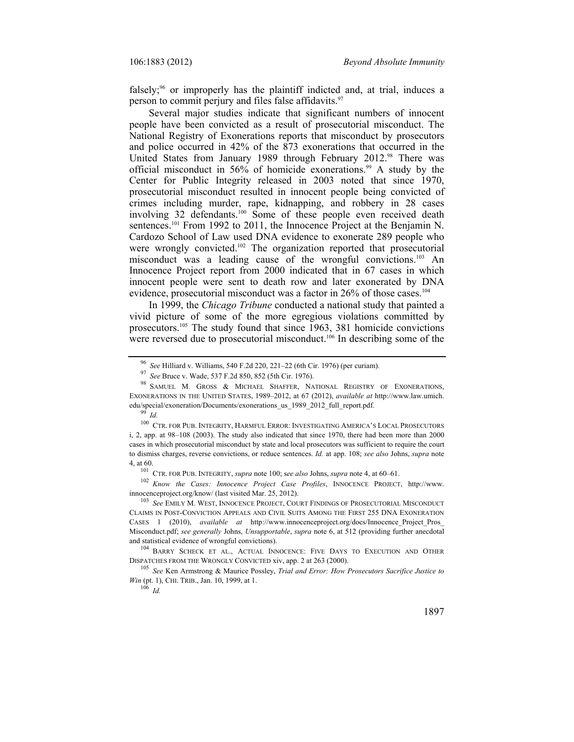falsely;<sup>96</sup> or improperly has the plaintiff indicted and, at trial, induces a person to commit perjury and files false affidavits.<sup>97</sup>

Several major studies indicate that significant numbers of innocent people have been convicted as a result of prosecutorial misconduct. The National Registry of Exonerations reports that misconduct by prosecutors and police occurred in 42% of the 873 exonerations that occurred in the United States from January 1989 through February 2012.<sup>98</sup> There was official misconduct in 56% of homicide exonerations.<sup>99</sup> A study by the Center for Public Integrity released in 2003 noted that since 1970, prosecutorial misconduct resulted in innocent people being convicted of crimes including murder, rape, kidnapping, and robbery in 28 cases involving 32 defendants.<sup>100</sup> Some of these people even received death sentences.<sup>101</sup> From 1992 to 2011, the Innocence Project at the Benjamin N. Cardozo School of Law used DNA evidence to exonerate 289 people who were wrongly convicted.<sup>102</sup> The organization reported that prosecutorial misconduct was a leading cause of the wrongful convictions.<sup>103</sup> An Innocence Project report from 2000 indicated that in 67 cases in which innocent people were sent to death row and later exonerated by DNA evidence, prosecutorial misconduct was a factor in 26% of those cases.<sup>104</sup>

In 1999, the *Chicago Tribune* conducted a national study that painted a vivid picture of some of the more egregious violations committed by prosecutors.105 The study found that since 1963, 381 homicide convictions were reversed due to prosecutorial misconduct.<sup>106</sup> In describing some of the

 $^{100}$  CTR. FOR PUB. INTEGRITY, HARMFUL ERROR: INVESTIGATING AMERICA'S LOCAL PROSECUTORS i, 2, app. at 98–108 (2003). The study also indicated that since 1970, there had been more than 2000 cases in which prosecutorial misconduct by state and local prosecutors was sufficient to require the court to dismiss charges, reverse convictions, or reduce sentences. *Id.* at app. 108; *see also* Johns, *supra* note

4, at 60.<br><sup>101</sup> CTR. FOR PUB. INTEGRITY, *supra* note 100; see also Johns, *supra* note 4, at 60–61.<br><sup>102</sup> *Know the Cases: Innocence Project Case Profiles*, INNOCENCE PROJECT, http://www.<br>innocenceproject.org/know/ (last

<sup>103</sup> See EMILY M. WEST, INNOCENCE PROJECT, COURT FINDINGS OF PROSECUTORIAL MISCONDUCT CLAIMS IN POST-CONVICTION APPEALS AND CIVIL SUITS AMONG THE FIRST 255 DNA EXONERATION CASES 1 (2010), *available at* http://www.innocenceproject.org/docs/Innocence\_Project\_Pros\_ Misconduct.pdf; *see generally* Johns, *Unsupportable*, *supra* note 6, at 512 (providing further anecdotal and statistical evidence of wrongful convictions). 104 BARRY SCHECK ET AL., ACTUAL INNOCENCE: FIVE DAYS TO EXECUTION AND OTHER

DISPATCHES FROM THE WRONGLY CONVICTED xiv, app. 2 at 263 (2000). 105 *See* Ken Armstrong & Maurice Possley, *Trial and Error: How Prosecutors Sacrifice Justice to* 

*Win* (pt. 1), CHI. TRIB., Jan. 10, 1999, at 1. <sup>106</sup> *Id.* 

<sup>96</sup>*See* Hilliard v. Williams, 540 F.2d 220, 221–22 (6th Cir. 1976) (per curiam). 97 *See* Bruce v. Wade, 537 F.2d 850, 852 (5th Cir. 1976). 98 SAMUEL M. GROSS & MICHAEL SHAFFER, NATIONAL REGISTRY OF EXONERATIONS, EXONERATIONS IN THE UNITED STATES, 1989–2012, at 67 (2012), *available at* http://www.law.umich. edu/special/exoneration/Documents/exonerations\_us\_1989\_2012\_full\_report.pdf. 99 *Id.*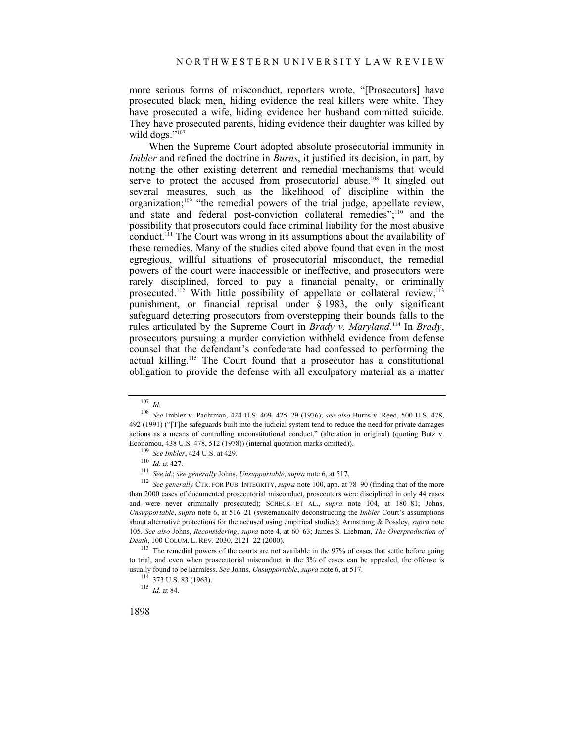more serious forms of misconduct, reporters wrote, "[Prosecutors] have prosecuted black men, hiding evidence the real killers were white. They have prosecuted a wife, hiding evidence her husband committed suicide. They have prosecuted parents, hiding evidence their daughter was killed by wild dogs."<sup>107</sup>

When the Supreme Court adopted absolute prosecutorial immunity in *Imbler* and refined the doctrine in *Burns*, it justified its decision, in part, by noting the other existing deterrent and remedial mechanisms that would serve to protect the accused from prosecutorial abuse.<sup>108</sup> It singled out several measures, such as the likelihood of discipline within the organization;<sup>109</sup> "the remedial powers of the trial judge, appellate review, and state and federal post-conviction collateral remedies";<sup>110</sup> and the possibility that prosecutors could face criminal liability for the most abusive conduct.111 The Court was wrong in its assumptions about the availability of these remedies. Many of the studies cited above found that even in the most egregious, willful situations of prosecutorial misconduct, the remedial powers of the court were inaccessible or ineffective, and prosecutors were rarely disciplined, forced to pay a financial penalty, or criminally prosecuted.<sup>112</sup> With little possibility of appellate or collateral review,<sup>113</sup> punishment, or financial reprisal under § 1983, the only significant safeguard deterring prosecutors from overstepping their bounds falls to the rules articulated by the Supreme Court in *Brady v. Maryland*. 114 In *Brady*, prosecutors pursuing a murder conviction withheld evidence from defense counsel that the defendant's confederate had confessed to performing the actual killing.115 The Court found that a prosecutor has a constitutional obligation to provide the defense with all exculpatory material as a matter

<sup>107</sup> *Id.*

<sup>108</sup> *See* Imbler v. Pachtman, 424 U.S. 409, 425–29 (1976); *see also* Burns v. Reed, 500 U.S. 478, 492 (1991) ("[T]he safeguards built into the judicial system tend to reduce the need for private damages actions as a means of controlling unconstitutional conduct." (alteration in original) (quoting Butz v. Economou, 438 U.S. 478, 512 (1978)) (internal quotation marks omitted)).<br>
<sup>109</sup> *See Imbler*, 424 U.S. at 429.<br>
<sup>110</sup> *Id.* at 427.<br>
<sup>111</sup> *See id.; see generally Johns, Unsupportable, supra* note 6, at 517.<br>
<sup>112</sup> *See g* 

than 2000 cases of documented prosecutorial misconduct, prosecutors were disciplined in only 44 cases and were never criminally prosecuted); SCHECK ET AL., *supra* note 104, at 180–81; Johns, *Unsupportable*, *supra* note 6, at 516–21 (systematically deconstructing the *Imbler* Court's assumptions about alternative protections for the accused using empirical studies); Armstrong & Possley, *supra* note 105. *See also* Johns, *Reconsidering*, *supra* note 4, at 60–63; James S. Liebman, *The Overproduction of* 

<sup>&</sup>lt;sup>113</sup> The remedial powers of the courts are not available in the 97% of cases that settle before going to trial, and even when prosecutorial misconduct in the 3% of cases can be appealed, the offense is usually found to be harmless. *See* Johns, *Unsupportable*, *supra* note 6, at 517. 114 373 U.S. 83 (1963). 115 *Id.* at 84.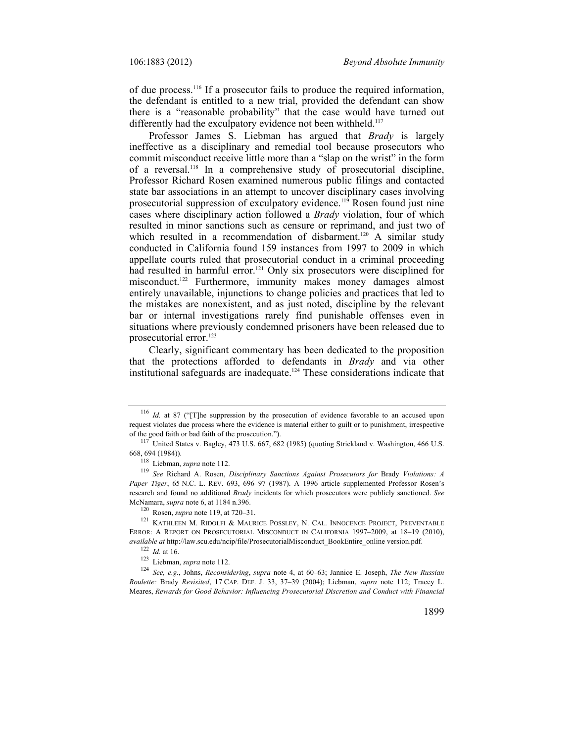of due process.116 If a prosecutor fails to produce the required information, the defendant is entitled to a new trial, provided the defendant can show there is a "reasonable probability" that the case would have turned out differently had the exculpatory evidence not been withheld.<sup>117</sup>

Professor James S. Liebman has argued that *Brady* is largely ineffective as a disciplinary and remedial tool because prosecutors who commit misconduct receive little more than a "slap on the wrist" in the form of a reversal.118 In a comprehensive study of prosecutorial discipline, Professor Richard Rosen examined numerous public filings and contacted state bar associations in an attempt to uncover disciplinary cases involving prosecutorial suppression of exculpatory evidence.119 Rosen found just nine cases where disciplinary action followed a *Brady* violation, four of which resulted in minor sanctions such as censure or reprimand, and just two of which resulted in a recommendation of disbarment.<sup>120</sup> A similar study conducted in California found 159 instances from 1997 to 2009 in which appellate courts ruled that prosecutorial conduct in a criminal proceeding had resulted in harmful error.<sup>121</sup> Only six prosecutors were disciplined for misconduct.<sup>122</sup> Furthermore, immunity makes money damages almost entirely unavailable, injunctions to change policies and practices that led to the mistakes are nonexistent, and as just noted, discipline by the relevant bar or internal investigations rarely find punishable offenses even in situations where previously condemned prisoners have been released due to prosecutorial error.<sup>123</sup>

Clearly, significant commentary has been dedicated to the proposition that the protections afforded to defendants in *Brady* and via other institutional safeguards are inadequate.124 These considerations indicate that

<sup>116</sup> *Id.* at 87 ("[T]he suppression by the prosecution of evidence favorable to an accused upon request violates due process where the evidence is material either to guilt or to punishment, irrespective

<sup>%</sup> of the good faith or bad faith of the prosecution.").<br>
<sup>117</sup> United States v. Bagley, 473 U.S. 667, 682 (1985) (quoting Strickland v. Washington, 466 U.S.<br>  $^{118}$  Liebman, *supra* note 112.

<sup>&</sup>lt;sup>119</sup> See Richard A. Rosen, *Disciplinary Sanctions Against Prosecutors for Brady Violations: A Paper Tiger*, 65 N.C. L. REV. 693, 696–97 (1987). A 1996 article supplemented Professor Rosen's research and found no additional *Brady* incidents for which prosecutors were publicly sanctioned. *See* McNamara, *supra* note 6, at 1184 n.396.<br><sup>120</sup> Rosen, *supra* note 119, at 720–31.<br><sup>121</sup> KATHLEEN M. RIDOLFI & MAURICE POSSLEY, N. CAL. INNOCENCE PROJECT, PREVENTABLE

ERROR: A REPORT ON PROSECUTORIAL MISCONDUCT IN CALIFORNIA 1997–2009, at 18–19 (2010), available at http://law.scu.edu/ncip/file/ProsecutorialMisconduct\_BookEntire\_online version.pdf.<br><sup>122</sup> Id. at 16.<br><sup>123</sup> Liebman, *supra* note 112.<br><sup>124</sup> See, e.g., Johns, Reconsidering, *supra* note 4, at 60–63; Jannice E.

*Roulette:* Brady *Revisited*, 17 CAP. DEF. J. 33, 37–39 (2004); Liebman, *supra* note 112; Tracey L. Meares, *Rewards for Good Behavior: Influencing Prosecutorial Discretion and Conduct with Financial*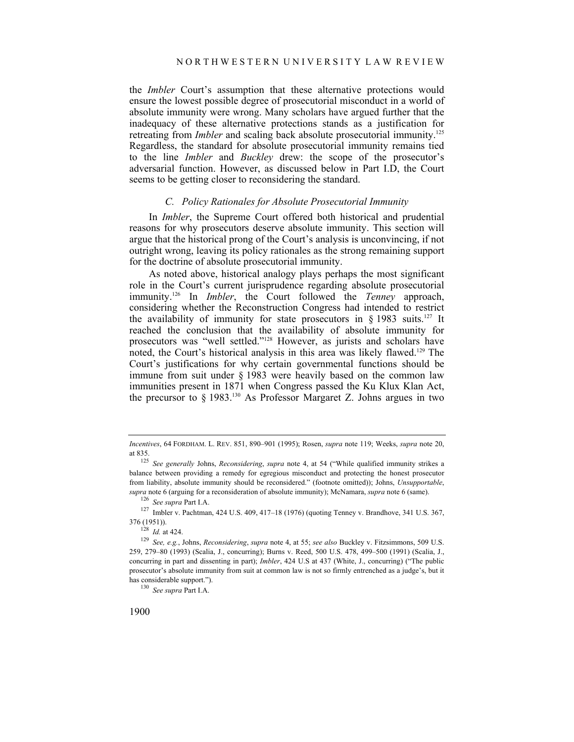the *Imbler* Court's assumption that these alternative protections would ensure the lowest possible degree of prosecutorial misconduct in a world of absolute immunity were wrong. Many scholars have argued further that the inadequacy of these alternative protections stands as a justification for retreating from *Imbler* and scaling back absolute prosecutorial immunity.<sup>125</sup> Regardless, the standard for absolute prosecutorial immunity remains tied to the line *Imbler* and *Buckley* drew: the scope of the prosecutor's adversarial function. However, as discussed below in Part I.D, the Court seems to be getting closer to reconsidering the standard.

## *C. Policy Rationales for Absolute Prosecutorial Immunity*

In *Imbler*, the Supreme Court offered both historical and prudential reasons for why prosecutors deserve absolute immunity. This section will argue that the historical prong of the Court's analysis is unconvincing, if not outright wrong, leaving its policy rationales as the strong remaining support for the doctrine of absolute prosecutorial immunity.

As noted above, historical analogy plays perhaps the most significant role in the Court's current jurisprudence regarding absolute prosecutorial immunity.126 In *Imbler*, the Court followed the *Tenney* approach, considering whether the Reconstruction Congress had intended to restrict the availability of immunity for state prosecutors in  $\S$  1983 suits.<sup>127</sup> It reached the conclusion that the availability of absolute immunity for prosecutors was "well settled."<sup>128</sup> However, as jurists and scholars have noted, the Court's historical analysis in this area was likely flawed.129 The Court's justifications for why certain governmental functions should be immune from suit under § 1983 were heavily based on the common law immunities present in 1871 when Congress passed the Ku Klux Klan Act, the precursor to  $\S$  1983.<sup>130</sup> As Professor Margaret Z. Johns argues in two

*Incentives*, 64 FORDHAM. L. REV. 851, 890–901 (1995); Rosen, *supra* note 119; Weeks, *supra* note 20,

at 835. 125 *See generally* Johns, *Reconsidering*, *supra* note 4, at 54 ("While qualified immunity strikes a balance between providing a remedy for egregious misconduct and protecting the honest prosecutor from liability, absolute immunity should be reconsidered." (footnote omitted)); Johns, *Unsupportable*, supra note 6 (arguing for a reconsideration of absolute immunity); McNamara, *supra* note 6 (same).<br><sup>126</sup> See supra Part I.A.<br><sup>127</sup> Imbler v. Pachtman, 424 U.S. 409, 417-18 (1976) (quoting Tenney v. Brandhove, 341 U.S. 367

<sup>376 (1951)). 128</sup> *Id.* at 424. 129 *See, e.g.*, Johns, *Reconsidering*, *supra* note 4, at 55; *see also* Buckley v. Fitzsimmons, 509 U.S. 259, 279–80 (1993) (Scalia, J., concurring); Burns v. Reed, 500 U.S. 478, 499–500 (1991) (Scalia, J., concurring in part and dissenting in part); *Imbler*, 424 U.S at 437 (White, J., concurring) ("The public prosecutor's absolute immunity from suit at common law is not so firmly entrenched as a judge's, but it has considerable support."). 130 *See supra* Part I.A.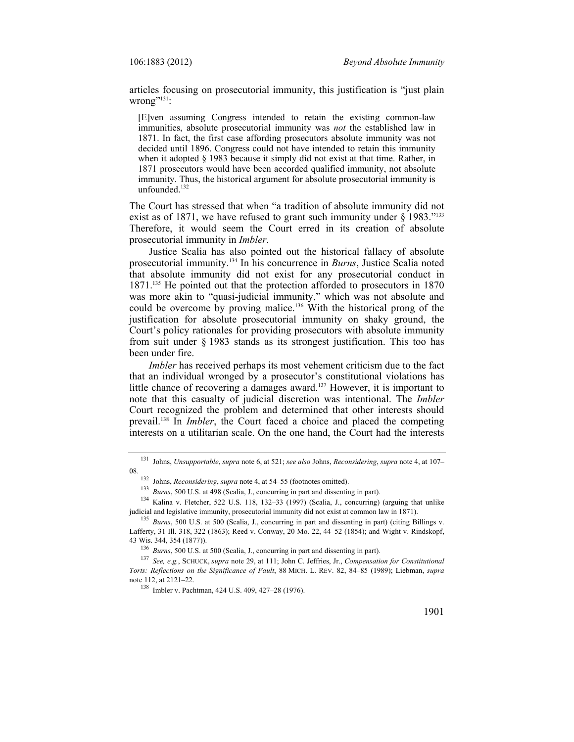articles focusing on prosecutorial immunity, this justification is "just plain wrong $"^{131}$ :

[E]ven assuming Congress intended to retain the existing common-law immunities, absolute prosecutorial immunity was *not* the established law in 1871. In fact, the first case affording prosecutors absolute immunity was not decided until 1896. Congress could not have intended to retain this immunity when it adopted § 1983 because it simply did not exist at that time. Rather, in 1871 prosecutors would have been accorded qualified immunity, not absolute immunity. Thus, the historical argument for absolute prosecutorial immunity is unfounded.<sup>132</sup>

The Court has stressed that when "a tradition of absolute immunity did not exist as of 1871, we have refused to grant such immunity under § 1983."<sup>133</sup> Therefore, it would seem the Court erred in its creation of absolute prosecutorial immunity in *Imbler*.

Justice Scalia has also pointed out the historical fallacy of absolute prosecutorial immunity.134 In his concurrence in *Burns*, Justice Scalia noted that absolute immunity did not exist for any prosecutorial conduct in 1871.135 He pointed out that the protection afforded to prosecutors in 1870 was more akin to "quasi-judicial immunity," which was not absolute and could be overcome by proving malice.136 With the historical prong of the justification for absolute prosecutorial immunity on shaky ground, the Court's policy rationales for providing prosecutors with absolute immunity from suit under § 1983 stands as its strongest justification. This too has been under fire.

*Imbler* has received perhaps its most vehement criticism due to the fact that an individual wronged by a prosecutor's constitutional violations has little chance of recovering a damages award.<sup>137</sup> However, it is important to note that this casualty of judicial discretion was intentional. The *Imbler* Court recognized the problem and determined that other interests should prevail.138 In *Imbler*, the Court faced a choice and placed the competing interests on a utilitarian scale. On the one hand, the Court had the interests

<sup>131</sup> Johns, *Unsupportable*, *supra* note 6, at 521; *see also* Johns, *Reconsidering*, *supra* note 4, at 107–

<sup>08.&</sup>lt;br>
<sup>132</sup> Johns, *Reconsidering*, *supra* note 4, at 54–55 (footnotes omitted).<br>
<sup>133</sup> *Burns*, 500 U.S. at 498 (Scalia, J., concurring in part and dissenting in part).<br>
<sup>134</sup> Kalina v. Fletcher, 522 U.S. 118, 132–33 (19

<sup>&</sup>lt;sup>135</sup> *Burns*, 500 U.S. at 500 (Scalia, J., concurring in part and dissenting in part) (citing Billings v. Lafferty, 31 Ill. 318, 322 (1863); Reed v. Conway, 20 Mo. 22, 44–52 (1854); and Wight v. Rindskopf, 43 Wis. 344, 354 (1877)).<br><sup>136</sup> Burns, 500 U.S. at 500 (Scalia, J., concurring in part and dissenting in part).<br><sup>137</sup> See, e.g., SCHUCK, supra note 29, at 111; John C. Jeffries, Jr., Compensation for Constitutional

*Torts: Reflections on the Significance of Fault*, 88 MICH. L. REV. 82, 84–85 (1989); Liebman, *supra* note 112, at 2121–22.

<sup>&</sup>lt;sup>138</sup> Imbler v. Pachtman, 424 U.S. 409, 427–28 (1976).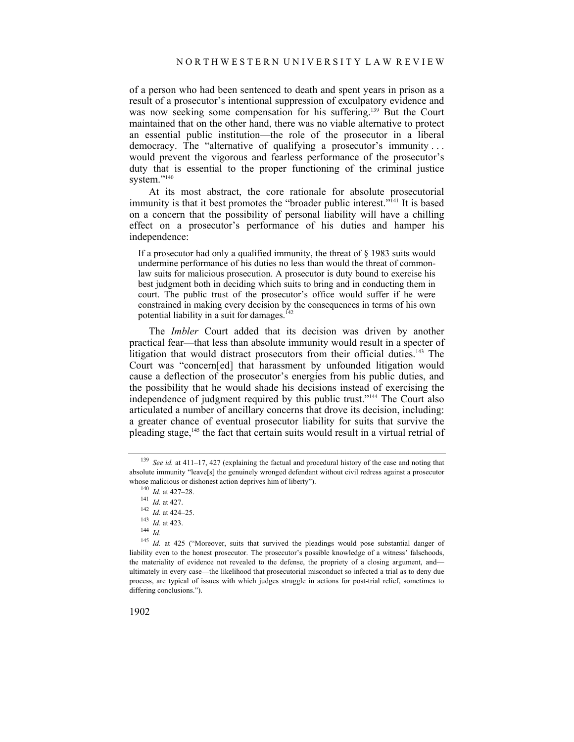of a person who had been sentenced to death and spent years in prison as a result of a prosecutor's intentional suppression of exculpatory evidence and was now seeking some compensation for his suffering.<sup>139</sup> But the Court maintained that on the other hand, there was no viable alternative to protect an essential public institution—the role of the prosecutor in a liberal democracy. The "alternative of qualifying a prosecutor's immunity . . . would prevent the vigorous and fearless performance of the prosecutor's duty that is essential to the proper functioning of the criminal justice system."<sup>140</sup>

At its most abstract, the core rationale for absolute prosecutorial immunity is that it best promotes the "broader public interest."<sup>141</sup> It is based on a concern that the possibility of personal liability will have a chilling effect on a prosecutor's performance of his duties and hamper his independence:

If a prosecutor had only a qualified immunity, the threat of § 1983 suits would undermine performance of his duties no less than would the threat of commonlaw suits for malicious prosecution. A prosecutor is duty bound to exercise his best judgment both in deciding which suits to bring and in conducting them in court. The public trust of the prosecutor's office would suffer if he were constrained in making every decision by the consequences in terms of his own potential liability in a suit for damages.<sup>142</sup>

The *Imbler* Court added that its decision was driven by another practical fear—that less than absolute immunity would result in a specter of litigation that would distract prosecutors from their official duties.<sup>143</sup> The Court was "concern[ed] that harassment by unfounded litigation would cause a deflection of the prosecutor's energies from his public duties, and the possibility that he would shade his decisions instead of exercising the independence of judgment required by this public trust."144 The Court also articulated a number of ancillary concerns that drove its decision, including: a greater chance of eventual prosecutor liability for suits that survive the pleading stage,145 the fact that certain suits would result in a virtual retrial of

<sup>145</sup> *Id.* at 425 ("Moreover, suits that survived the pleadings would pose substantial danger of liability even to the honest prosecutor. The prosecutor's possible knowledge of a witness' falsehoods, the materiality of evidence not revealed to the defense, the propriety of a closing argument, and ultimately in every case—the likelihood that prosecutorial misconduct so infected a trial as to deny due process, are typical of issues with which judges struggle in actions for post-trial relief, sometimes to differing conclusions.").

<sup>139</sup> *See id.* at 411–17, 427 (explaining the factual and procedural history of the case and noting that absolute immunity "leave[s] the genuinely wronged defendant without civil redress against a prosecutor whose malicious or dishonest action deprives him of liberty").<br>
<sup>140</sup> *Id.* at 427–28.<br>
<sup>141</sup> *Id.* at 427.<br>
<sup>142</sup> *Id.* at 424–25.<br>
<sup>143</sup> *Id.* at 423.<br>
<sup>144</sup> *Id*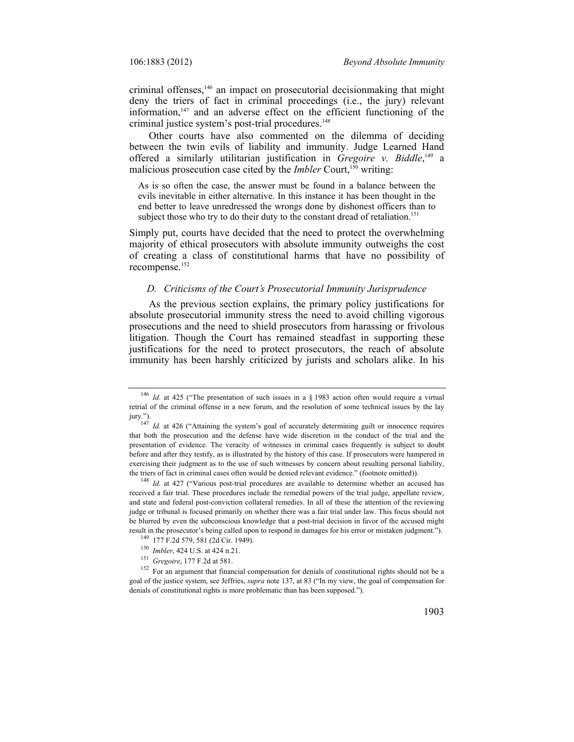criminal offenses,<sup>146</sup> an impact on prosecutorial decisionmaking that might deny the triers of fact in criminal proceedings (i.e., the jury) relevant information, $147$  and an adverse effect on the efficient functioning of the criminal justice system's post-trial procedures.<sup>148</sup>

Other courts have also commented on the dilemma of deciding between the twin evils of liability and immunity. Judge Learned Hand offered a similarly utilitarian justification in *Gregoire v. Biddle*, 149 a malicious prosecution case cited by the *Imbler* Court,<sup>150</sup> writing:

As is so often the case, the answer must be found in a balance between the evils inevitable in either alternative. In this instance it has been thought in the end better to leave unredressed the wrongs done by dishonest officers than to subject those who try to do their duty to the constant dread of retaliation.<sup>151</sup>

Simply put, courts have decided that the need to protect the overwhelming majority of ethical prosecutors with absolute immunity outweighs the cost of creating a class of constitutional harms that have no possibility of recompense.152

#### *D. Criticisms of the Court's Prosecutorial Immunity Jurisprudence*

As the previous section explains, the primary policy justifications for absolute prosecutorial immunity stress the need to avoid chilling vigorous prosecutions and the need to shield prosecutors from harassing or frivolous litigation. Though the Court has remained steadfast in supporting these justifications for the need to protect prosecutors, the reach of absolute immunity has been harshly criticized by jurists and scholars alike. In his

received a fair trial. These procedures include the remedial powers of the trial judge, appellate review, and state and federal post-conviction collateral remedies. In all of these the attention of the reviewing judge or tribunal is focused primarily on whether there was a fair trial under law. This focus should not be blurred by even the subconscious knowledge that a post-trial decision in favor of the accused might result in the prosecutor's being called upon to respond in damages for his error or mistaken judgment.").

<sup>&</sup>lt;sup>146</sup> *Id.* at 425 ("The presentation of such issues in a § 1983 action often would require a virtual retrial of the criminal offense in a new forum, and the resolution of some technical issues by the lay

jury."). 147 *Id.* at 426 ("Attaining the system's goal of accurately determining guilt or innocence requires that both the prosecution and the defense have wide discretion in the conduct of the trial and the presentation of evidence. The veracity of witnesses in criminal cases frequently is subject to doubt before and after they testify, as is illustrated by the history of this case. If prosecutors were hampered in exercising their judgment as to the use of such witnesses by concern about resulting personal liability, the triers of fact in criminal cases often would be denied relevant evidence." (footnote omitted)). 148 *Id.* at 427 ("Various post-trial procedures are available to determine whether an accused has

<sup>&</sup>lt;sup>149</sup> 177 F.2d 579, 581 (2d Cir. 1949).<br><sup>150</sup> *Imbler*, 424 U.S. at 424 n.21.<br><sup>151</sup> *Gregoire*, 177 F.2d at 581.<br><sup>151</sup> For an argument that financial compensation for denials of constitutional rights should not be a goal of the justice system, see Jeffries, *supra* note 137, at 83 ("In my view, the goal of compensation for denials of constitutional rights is more problematic than has been supposed.").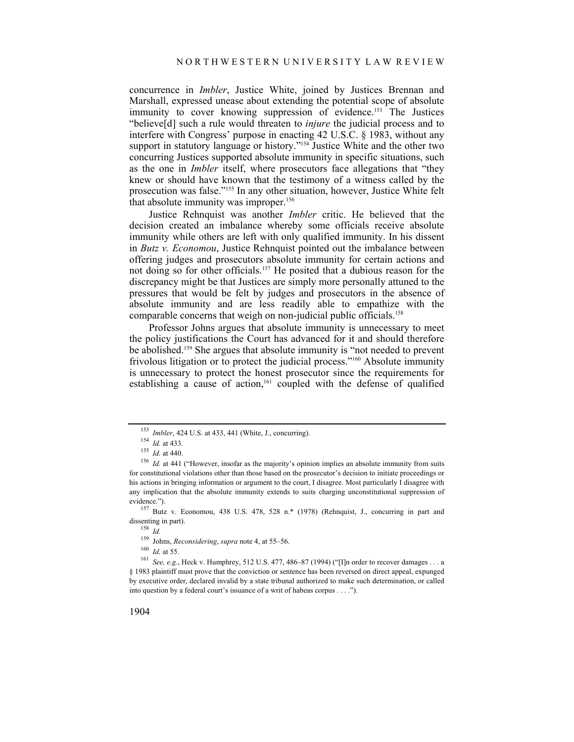concurrence in *Imbler*, Justice White, joined by Justices Brennan and Marshall, expressed unease about extending the potential scope of absolute immunity to cover knowing suppression of evidence.<sup>153</sup> The Justices "believe[d] such a rule would threaten to *injure* the judicial process and to interfere with Congress' purpose in enacting 42 U.S.C. § 1983, without any support in statutory language or history."<sup>154</sup> Justice White and the other two concurring Justices supported absolute immunity in specific situations, such as the one in *Imbler* itself, where prosecutors face allegations that "they knew or should have known that the testimony of a witness called by the prosecution was false."155 In any other situation, however, Justice White felt that absolute immunity was improper.<sup>156</sup>

Justice Rehnquist was another *Imbler* critic. He believed that the decision created an imbalance whereby some officials receive absolute immunity while others are left with only qualified immunity. In his dissent in *Butz v. Economou*, Justice Rehnquist pointed out the imbalance between offering judges and prosecutors absolute immunity for certain actions and not doing so for other officials.157 He posited that a dubious reason for the discrepancy might be that Justices are simply more personally attuned to the pressures that would be felt by judges and prosecutors in the absence of absolute immunity and are less readily able to empathize with the comparable concerns that weigh on non-judicial public officials.<sup>158</sup>

Professor Johns argues that absolute immunity is unnecessary to meet the policy justifications the Court has advanced for it and should therefore be abolished.159 She argues that absolute immunity is "not needed to prevent frivolous litigation or to protect the judicial process."<sup>160</sup> Absolute immunity is unnecessary to protect the honest prosecutor since the requirements for establishing a cause of action,<sup>161</sup> coupled with the defense of qualified

<sup>153</sup> *Imbler*, 424 U.S. at 433, 441 (White, J., concurring).<br>
154 *Id.* at 433.<br>
155 *Id.* at 440.<br>
<sup>156</sup> *Id.* at 441 ("However, insofar as the majority's opinion implies an absolute immunity from suits for constitutional violations other than those based on the prosecutor's decision to initiate proceedings or his actions in bringing information or argument to the court, I disagree. Most particularly I disagree with any implication that the absolute immunity extends to suits charging unconstitutional suppression of evidence."). 157 Butz v. Economou, 438 U.S. 478, 528 n.\* (1978) (Rehnquist, J., concurring in part and

dissenting in part).<br><sup>158</sup> *Id.*<br><sup>159</sup> Johns, *Reconsidering*, *supra* note 4, at 55–56.

<sup>160</sup> *Id.* at 55.<br><sup>161</sup> *See, e.g.*, Heck v. Humphrey, 512 U.S. 477, 486–87 (1994) ("[I]n order to recover damages . . . a § 1983 plaintiff must prove that the conviction or sentence has been reversed on direct appeal, expunged by executive order, declared invalid by a state tribunal authorized to make such determination, or called into question by a federal court's issuance of a writ of habeas corpus . . . .").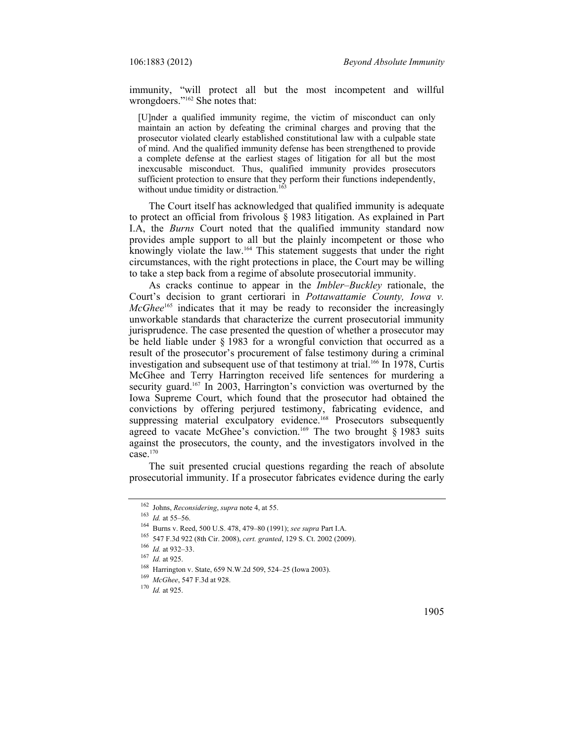immunity, "will protect all but the most incompetent and willful wrongdoers."162 She notes that:

[U]nder a qualified immunity regime, the victim of misconduct can only maintain an action by defeating the criminal charges and proving that the prosecutor violated clearly established constitutional law with a culpable state of mind. And the qualified immunity defense has been strengthened to provide a complete defense at the earliest stages of litigation for all but the most inexcusable misconduct. Thus, qualified immunity provides prosecutors sufficient protection to ensure that they perform their functions independently, without undue timidity or distraction.<sup>163</sup>

The Court itself has acknowledged that qualified immunity is adequate to protect an official from frivolous § 1983 litigation. As explained in Part I.A, the *Burns* Court noted that the qualified immunity standard now provides ample support to all but the plainly incompetent or those who knowingly violate the law.164 This statement suggests that under the right circumstances, with the right protections in place, the Court may be willing to take a step back from a regime of absolute prosecutorial immunity.

As cracks continue to appear in the *Imbler–Buckley* rationale, the Court's decision to grant certiorari in *Pottawattamie County, Iowa v. McGhee*<sup>165</sup> indicates that it may be ready to reconsider the increasingly unworkable standards that characterize the current prosecutorial immunity jurisprudence. The case presented the question of whether a prosecutor may be held liable under § 1983 for a wrongful conviction that occurred as a result of the prosecutor's procurement of false testimony during a criminal investigation and subsequent use of that testimony at trial.<sup>166</sup> In 1978, Curtis McGhee and Terry Harrington received life sentences for murdering a security guard.<sup>167</sup> In 2003, Harrington's conviction was overturned by the Iowa Supreme Court, which found that the prosecutor had obtained the convictions by offering perjured testimony, fabricating evidence, and suppressing material exculpatory evidence.<sup>168</sup> Prosecutors subsequently agreed to vacate McGhee's conviction.<sup>169</sup> The two brought  $\S$  1983 suits against the prosecutors, the county, and the investigators involved in the case. $170$ 

The suit presented crucial questions regarding the reach of absolute prosecutorial immunity. If a prosecutor fabricates evidence during the early

<sup>&</sup>lt;sup>162</sup> Johns, *Reconsidering*, *supra* note 4, at 55.<br>
<sup>163</sup> *Id.* at 55–56.<br>
<sup>164</sup> Burns v. Reed, 500 U.S. 478, 479–80 (1991); *see supra* Part I.A.<br>
<sup>165</sup> 547 F.3d 922 (8th Cir. 2008), *cert. granted*, 129 S. Ct. 2002 (2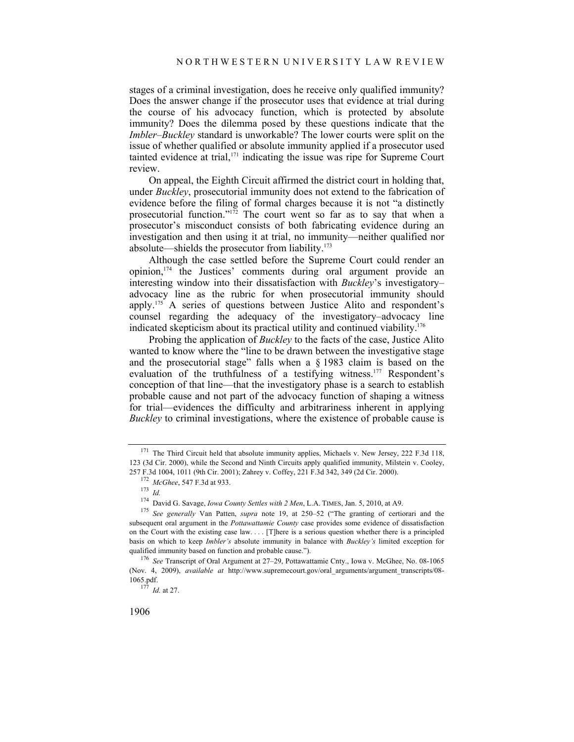stages of a criminal investigation, does he receive only qualified immunity? Does the answer change if the prosecutor uses that evidence at trial during the course of his advocacy function, which is protected by absolute immunity? Does the dilemma posed by these questions indicate that the *Imbler–Buckley* standard is unworkable? The lower courts were split on the issue of whether qualified or absolute immunity applied if a prosecutor used tainted evidence at trial, $171$  indicating the issue was ripe for Supreme Court review.

On appeal, the Eighth Circuit affirmed the district court in holding that, under *Buckley*, prosecutorial immunity does not extend to the fabrication of evidence before the filing of formal charges because it is not "a distinctly prosecutorial function."<sup>172</sup> The court went so far as to say that when a prosecutor's misconduct consists of both fabricating evidence during an investigation and then using it at trial, no immunity—neither qualified nor absolute—shields the prosecutor from liability.173

Although the case settled before the Supreme Court could render an opinion,174 the Justices' comments during oral argument provide an interesting window into their dissatisfaction with *Buckley*'s investigatory– advocacy line as the rubric for when prosecutorial immunity should apply.175 A series of questions between Justice Alito and respondent's counsel regarding the adequacy of the investigatory–advocacy line indicated skepticism about its practical utility and continued viability.176

Probing the application of *Buckley* to the facts of the case, Justice Alito wanted to know where the "line to be drawn between the investigative stage and the prosecutorial stage" falls when a § 1983 claim is based on the evaluation of the truthfulness of a testifying witness.<sup>177</sup> Respondent's conception of that line—that the investigatory phase is a search to establish probable cause and not part of the advocacy function of shaping a witness for trial—evidences the difficulty and arbitrariness inherent in applying *Buckley* to criminal investigations, where the existence of probable cause is

<sup>&</sup>lt;sup>171</sup> The Third Circuit held that absolute immunity applies, Michaels v. New Jersey, 222 F.3d 118, 123 (3d Cir. 2000), while the Second and Ninth Circuits apply qualified immunity, Milstein v. Cooley, 257 F.3d 1004, 1011 (9th Cir. 2001); Zahrey v. Coffey, 221 F.3d 342, 349 (2d Cir. 2000). 172 *McGhee*, 547 F.3d at 933. 173 *Id.*

<sup>174</sup> David G. Savage, *Iowa County Settles with 2 Men*, L.A. TIMES, Jan. 5, 2010, at A9. 175 *See generally* Van Patten, *supra* note 19, at 250–52 ("The granting of certiorari and the subsequent oral argument in the *Pottawattamie County* case provides some evidence of dissatisfaction on the Court with the existing case law. . . . [T]here is a serious question whether there is a principled basis on which to keep *Imbler's* absolute immunity in balance with *Buckley's* limited exception for qualified immunity based on function and probable cause."). 176 *See* Transcript of Oral Argument at 27–29, Pottawattamie Cnty., Iowa v. McGhee, No. 08-1065

<sup>(</sup>Nov. 4, 2009), *available at* http://www.supremecourt.gov/oral\_arguments/argument\_transcripts/08- 1065.pdf. 177 *Id.* at 27.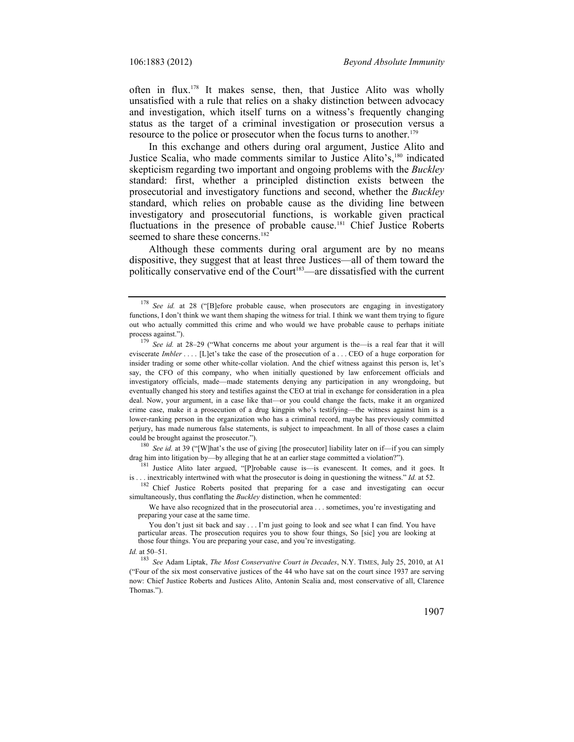often in flux.178 It makes sense, then, that Justice Alito was wholly unsatisfied with a rule that relies on a shaky distinction between advocacy and investigation, which itself turns on a witness's frequently changing status as the target of a criminal investigation or prosecution versus a resource to the police or prosecutor when the focus turns to another.<sup>179</sup>

In this exchange and others during oral argument, Justice Alito and Justice Scalia, who made comments similar to Justice Alito's,<sup>180</sup> indicated skepticism regarding two important and ongoing problems with the *Buckley*  standard: first, whether a principled distinction exists between the prosecutorial and investigatory functions and second, whether the *Buckley* standard, which relies on probable cause as the dividing line between investigatory and prosecutorial functions, is workable given practical fluctuations in the presence of probable cause.<sup>181</sup> Chief Justice Roberts seemed to share these concerns.<sup>182</sup>

Although these comments during oral argument are by no means dispositive, they suggest that at least three Justices—all of them toward the politically conservative end of the Court<sup>183</sup>—are dissatisfied with the current

could be brought against the prosecutor.").<br><sup>180</sup> *See id.* at 39 ("[W]hat's the use of giving [the prosecutor] liability later on if—if you can simply drag him into litigation by—by alleging that he at an earlier stage co

<sup>181</sup> Justice Alito later argued, "[P]robable cause is—is evanescent. It comes, and it goes. It

is . . inextricably intertwined with what the prosecutor is doing in questioning the witness." *Id.* at 52.<br><sup>182</sup> Chief Justice Roberts posited that preparing for a case and investigating can occur simultaneously, thus conflating the *Buckley* distinction, when he commented:

We have also recognized that in the prosecutorial area . . . sometimes, you're investigating and preparing your case at the same time.

You don't just sit back and say . . . I'm just going to look and see what I can find. You have particular areas. The prosecution requires you to show four things, So [sic] you are looking at those four things. You are preparing your case, and you're investigating.

*Id.* at 50–51.

<sup>178</sup> *See id.* at 28 ("[B]efore probable cause, when prosecutors are engaging in investigatory functions, I don't think we want them shaping the witness for trial. I think we want them trying to figure out who actually committed this crime and who would we have probable cause to perhaps initiate process against."). 179 *See id.* at 28–29 ("What concerns me about your argument is the—is a real fear that it will

eviscerate *Imbler* .... [L]et's take the case of the prosecution of a ... CEO of a huge corporation for insider trading or some other white-collar violation. And the chief witness against this person is, let's say, the CFO of this company, who when initially questioned by law enforcement officials and investigatory officials, made—made statements denying any participation in any wrongdoing, but eventually changed his story and testifies against the CEO at trial in exchange for consideration in a plea deal. Now, your argument, in a case like that—or you could change the facts, make it an organized crime case, make it a prosecution of a drug kingpin who's testifying—the witness against him is a lower-ranking person in the organization who has a criminal record, maybe has previously committed perjury, has made numerous false statements, is subject to impeachment. In all of those cases a claim

<sup>183</sup> *See* Adam Liptak, *The Most Conservative Court in Decades*, N.Y. TIMES, July 25, 2010, at A1 ("Four of the six most conservative justices of the 44 who have sat on the court since 1937 are serving now: Chief Justice Roberts and Justices Alito, Antonin Scalia and, most conservative of all, Clarence Thomas.").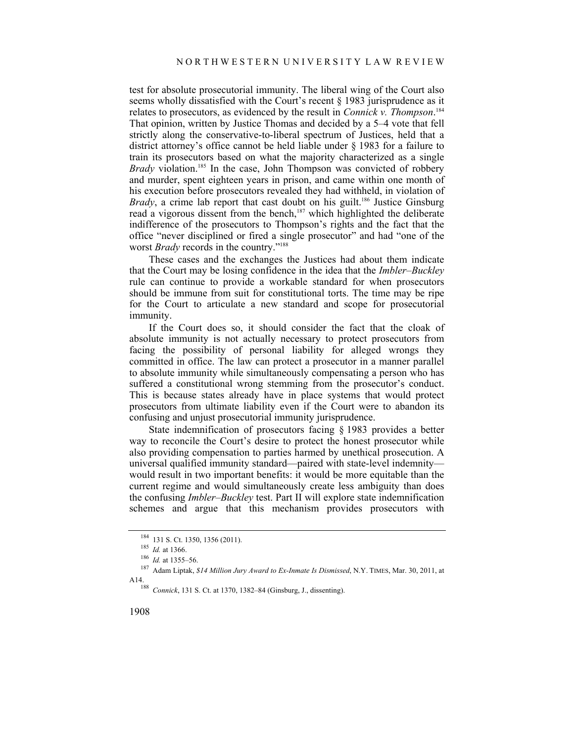test for absolute prosecutorial immunity. The liberal wing of the Court also seems wholly dissatisfied with the Court's recent  $\frac{1}{2}$  1983 jurisprudence as it relates to prosecutors, as evidenced by the result in *Connick v. Thompson*. 184 That opinion, written by Justice Thomas and decided by a 5–4 vote that fell strictly along the conservative-to-liberal spectrum of Justices, held that a district attorney's office cannot be held liable under § 1983 for a failure to train its prosecutors based on what the majority characterized as a single *Brady* violation.<sup>185</sup> In the case, John Thompson was convicted of robbery and murder, spent eighteen years in prison, and came within one month of his execution before prosecutors revealed they had withheld, in violation of *Brady*, a crime lab report that cast doubt on his guilt.<sup>186</sup> Justice Ginsburg read a vigorous dissent from the bench,<sup>187</sup> which highlighted the deliberate indifference of the prosecutors to Thompson's rights and the fact that the office "never disciplined or fired a single prosecutor" and had "one of the worst *Brady* records in the country."188

These cases and the exchanges the Justices had about them indicate that the Court may be losing confidence in the idea that the *Imbler*–*Buckley* rule can continue to provide a workable standard for when prosecutors should be immune from suit for constitutional torts. The time may be ripe for the Court to articulate a new standard and scope for prosecutorial immunity.

If the Court does so, it should consider the fact that the cloak of absolute immunity is not actually necessary to protect prosecutors from facing the possibility of personal liability for alleged wrongs they committed in office. The law can protect a prosecutor in a manner parallel to absolute immunity while simultaneously compensating a person who has suffered a constitutional wrong stemming from the prosecutor's conduct. This is because states already have in place systems that would protect prosecutors from ultimate liability even if the Court were to abandon its confusing and unjust prosecutorial immunity jurisprudence.

State indemnification of prosecutors facing § 1983 provides a better way to reconcile the Court's desire to protect the honest prosecutor while also providing compensation to parties harmed by unethical prosecution. A universal qualified immunity standard—paired with state-level indemnity would result in two important benefits: it would be more equitable than the current regime and would simultaneously create less ambiguity than does the confusing *Imbler*–*Buckley* test. Part II will explore state indemnification schemes and argue that this mechanism provides prosecutors with

<sup>184 131</sup> S. Ct. 1350, 1356 (2011).<br><sup>185</sup> *Id.* at 1366.<br><sup>186</sup> *Id.* at 1355–56.<br><sup>187</sup> Adam Liptak, *\$14 Million Jury Award to Ex-Inmate Is Dismissed*, N.Y. TIMES, Mar. 30, 2011, at A14. 188 *Connick*, 131 S. Ct. at 1370, 1382–84 (Ginsburg, J., dissenting).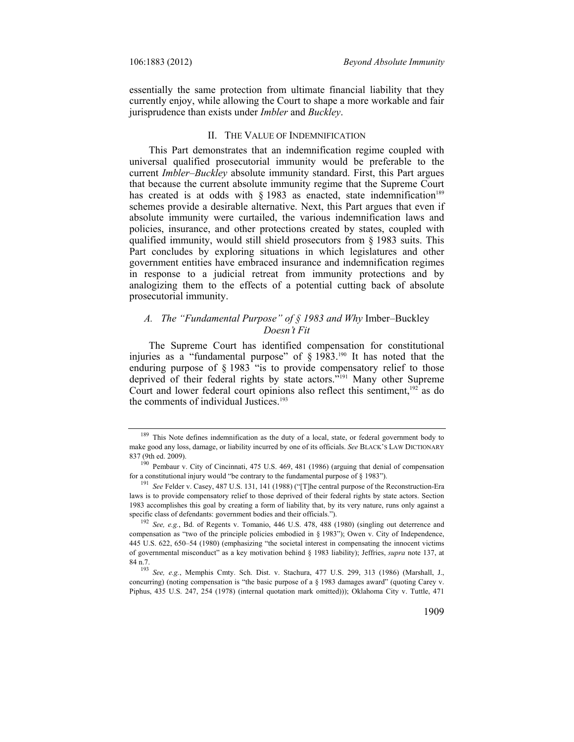essentially the same protection from ultimate financial liability that they currently enjoy, while allowing the Court to shape a more workable and fair jurisprudence than exists under *Imbler* and *Buckley*.

## II. THE VALUE OF INDEMNIFICATION

This Part demonstrates that an indemnification regime coupled with universal qualified prosecutorial immunity would be preferable to the current *Imbler*–*Buckley* absolute immunity standard. First, this Part argues that because the current absolute immunity regime that the Supreme Court has created is at odds with  $\S$  1983 as enacted, state indemnification<sup>189</sup> schemes provide a desirable alternative. Next, this Part argues that even if absolute immunity were curtailed, the various indemnification laws and policies, insurance, and other protections created by states, coupled with qualified immunity, would still shield prosecutors from § 1983 suits. This Part concludes by exploring situations in which legislatures and other government entities have embraced insurance and indemnification regimes in response to a judicial retreat from immunity protections and by analogizing them to the effects of a potential cutting back of absolute prosecutorial immunity.

## *A. The "Fundamental Purpose" of § 1983 and Why* Imber–Buckley *Doesn't Fit*

The Supreme Court has identified compensation for constitutional injuries as a "fundamental purpose" of § 1983.190 It has noted that the enduring purpose of  $\S$  1983 "is to provide compensatory relief to those deprived of their federal rights by state actors."191 Many other Supreme Court and lower federal court opinions also reflect this sentiment,  $192$  as do the comments of individual Justices.<sup>193</sup>

<sup>&</sup>lt;sup>189</sup> This Note defines indemnification as the duty of a local, state, or federal government body to make good any loss, damage, or liability incurred by one of its officials. *See* BLACK'S LAW DICTIONARY

<sup>&</sup>lt;sup>190</sup> Pembaur v. City of Cincinnati, 475 U.S. 469, 481 (1986) (arguing that denial of compensation for a constitutional injury would "be contrary to the fundamental purpose of § 1983").

<sup>&</sup>lt;sup>191</sup> See Felder v. Casey, 487 U.S. 131, 141 (1988) ("[T]he central purpose of the Reconstruction-Era laws is to provide compensatory relief to those deprived of their federal rights by state actors. Section 1983 accomplishes this goal by creating a form of liability that, by its very nature, runs only against a specific class of defendants: government bodies and their officials.").<br><sup>192</sup> *See, e.g.*, Bd. of Regents v. Tomanio, 446 U.S. 478, 488 (1980) (singling out deterrence and

compensation as "two of the principle policies embodied in § 1983"); Owen v. City of Independence, 445 U.S. 622, 650–54 (1980) (emphasizing "the societal interest in compensating the innocent victims of governmental misconduct" as a key motivation behind § 1983 liability); Jeffries, *supra* note 137, at 84 n.7. 193 *See, e.g.*, Memphis Cmty. Sch. Dist. v. Stachura, 477 U.S. 299, 313 (1986) (Marshall, J.,

concurring) (noting compensation is "the basic purpose of a § 1983 damages award" (quoting Carey v. Piphus, 435 U.S. 247, 254 (1978) (internal quotation mark omitted))); Oklahoma City v. Tuttle, 471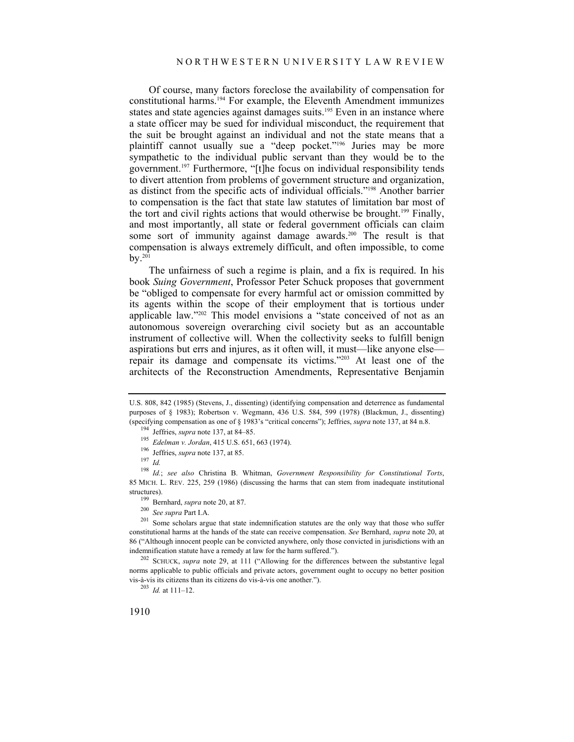Of course, many factors foreclose the availability of compensation for constitutional harms.194 For example, the Eleventh Amendment immunizes states and state agencies against damages suits.<sup>195</sup> Even in an instance where a state officer may be sued for individual misconduct, the requirement that the suit be brought against an individual and not the state means that a plaintiff cannot usually sue a "deep pocket."196 Juries may be more sympathetic to the individual public servant than they would be to the government.197 Furthermore, "[t]he focus on individual responsibility tends to divert attention from problems of government structure and organization, as distinct from the specific acts of individual officials."198 Another barrier to compensation is the fact that state law statutes of limitation bar most of the tort and civil rights actions that would otherwise be brought.<sup>199</sup> Finally, and most importantly, all state or federal government officials can claim some sort of immunity against damage awards.<sup>200</sup> The result is that compensation is always extremely difficult, and often impossible, to come by. $201$ 

The unfairness of such a regime is plain, and a fix is required. In his book *Suing Government*, Professor Peter Schuck proposes that government be "obliged to compensate for every harmful act or omission committed by its agents within the scope of their employment that is tortious under applicable law."202 This model envisions a "state conceived of not as an autonomous sovereign overarching civil society but as an accountable instrument of collective will. When the collectivity seeks to fulfill benign aspirations but errs and injures, as it often will, it must—like anyone else repair its damage and compensate its victims."203 At least one of the architects of the Reconstruction Amendments, Representative Benjamin

norms applicable to public officials and private actors, government ought to occupy no better position vis-à-vis its citizens than its citizens do vis-à-vis one another."). 203 *Id.* at 111–12.

1910

U.S. 808, 842 (1985) (Stevens, J., dissenting) (identifying compensation and deterrence as fundamental purposes of § 1983); Robertson v. Wegmann, 436 U.S. 584, 599 (1978) (Blackmun, J., dissenting) (specifying compensation as one of § 1983's "critical concerns"); Jeffries, *supra* note 137, at 84 n.8.<br><sup>194</sup> Jeffries, *supra* note 137, at 84–85.<br><sup>195</sup> Edelman v. Jordan, 415 U.S. 651, 663 (1974).<br><sup>196</sup> Jeffries, *supr* 

<sup>198</sup> *Id.*; *see also* Christina B. Whitman, *Government Responsibility for Constitutional Torts*, 85 MICH. L. REV. 225, 259 (1986) (discussing the harms that can stem from inadequate institutional

structures).<br><sup>199</sup> Bernhard, *supra* note 20, at 87.<br><sup>200</sup> *See supra* Part I.A.<br><sup>201</sup> Some scholars argue that state indemnification statutes are the only way that those who suffer constitutional harms at the hands of the state can receive compensation. *See* Bernhard, *supra* note 20, at 86 ("Although innocent people can be convicted anywhere, only those convicted in jurisdictions with an indemnification statute have a remedy at law for the harm suffered."). 202 SCHUCK, *supra* note 29, at 111 ("Allowing for the differences between the substantive legal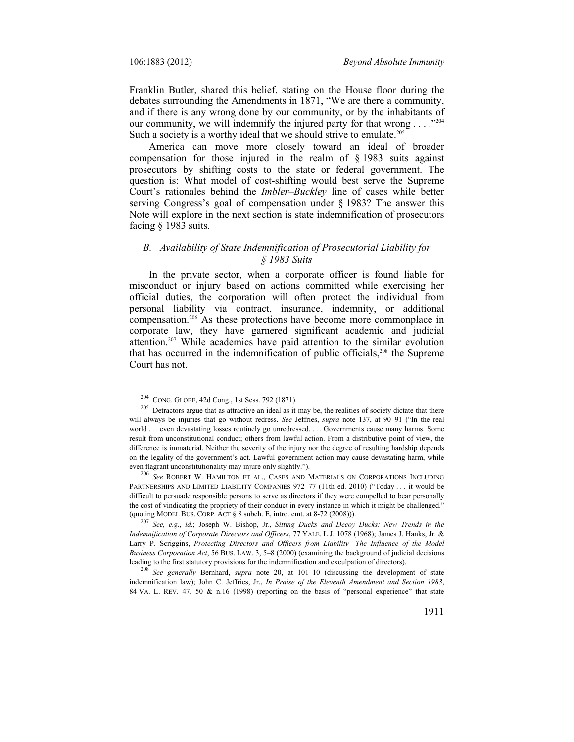Franklin Butler, shared this belief, stating on the House floor during the debates surrounding the Amendments in 1871, "We are there a community, and if there is any wrong done by our community, or by the inhabitants of our community, we will indemnify the injured party for that wrong  $\dots$  ... Such a society is a worthy ideal that we should strive to emulate.<sup>205</sup>

America can move more closely toward an ideal of broader compensation for those injured in the realm of § 1983 suits against prosecutors by shifting costs to the state or federal government. The question is: What model of cost-shifting would best serve the Supreme Court's rationales behind the *Imbler–Buckley* line of cases while better serving Congress's goal of compensation under § 1983? The answer this Note will explore in the next section is state indemnification of prosecutors facing § 1983 suits.

## *B. Availability of State Indemnification of Prosecutorial Liability for § 1983 Suits*

In the private sector, when a corporate officer is found liable for misconduct or injury based on actions committed while exercising her official duties, the corporation will often protect the individual from personal liability via contract, insurance, indemnity, or additional compensation.<sup>206</sup> As these protections have become more commonplace in corporate law, they have garnered significant academic and judicial attention.207 While academics have paid attention to the similar evolution that has occurred in the indemnification of public officials,<sup>208</sup> the Supreme Court has not.

<sup>&</sup>lt;sup>204</sup> CONG. GLOBE, 42d Cong., 1st Sess. 792 (1871).<br><sup>205</sup> Detractors argue that as attractive an ideal as it may be, the realities of society dictate that there will always be injuries that go without redress. *See* Jeffries, *supra* note 137, at 90–91 ("In the real world . . . even devastating losses routinely go unredressed. . . . Governments cause many harms. Some result from unconstitutional conduct; others from lawful action. From a distributive point of view, the difference is immaterial. Neither the severity of the injury nor the degree of resulting hardship depends on the legality of the government's act. Lawful government action may cause devastating harm, while even flagrant unconstitutionality may injure only slightly."). 206 *See* ROBERT W. HAMILTON ET AL., CASES AND MATERIALS ON CORPORATIONS INCLUDING

PARTNERSHIPS AND LIMITED LIABILITY COMPANIES 972-77 (11th ed. 2010) ("Today . . . it would be difficult to persuade responsible persons to serve as directors if they were compelled to bear personally the cost of vindicating the propriety of their conduct in every instance in which it might be challenged." (quoting MODEL BUS. CORP. ACT § 8 subch. E, intro. cmt. at 8-72 (2008))). 207 *See, e.g.*, *id.*; Joseph W. Bishop, Jr., *Sitting Ducks and Decoy Ducks: New Trends in the* 

*Indemnification of Corporate Directors and Officers*, 77 YALE. L.J. 1078 (1968); James J. Hanks, Jr. & Larry P. Scriggins, *Protecting Directors and Officers from Liability—The Influence of the Model Business Corporation Act*, 56 BUS. LAW. 3, 5–8 (2000) (examining the background of judicial decisions leading to the first statutory provisions for the indemnification and exculpation of directors). 208 *See generally* Bernhard, *supra* note 20, at 101–10 (discussing the development of state

indemnification law); John C. Jeffries, Jr., *In Praise of the Eleventh Amendment and Section 1983*, 84 VA. L. REV. 47, 50 & n.16 (1998) (reporting on the basis of "personal experience" that state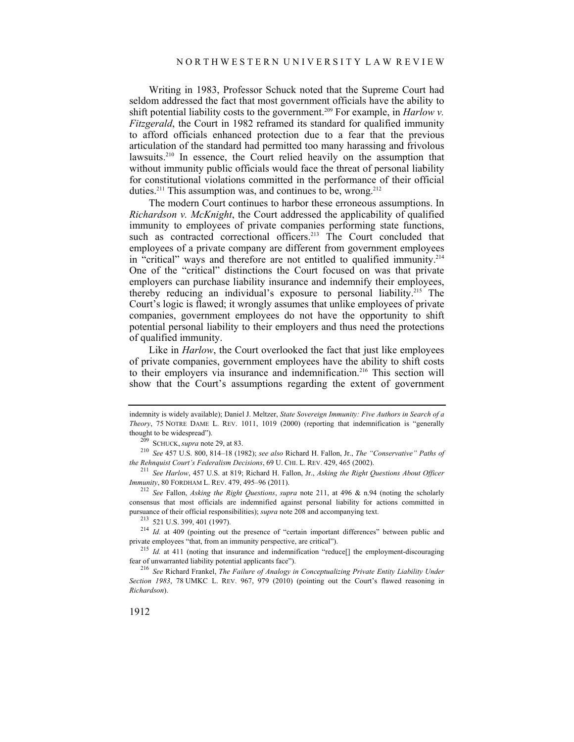Writing in 1983, Professor Schuck noted that the Supreme Court had seldom addressed the fact that most government officials have the ability to shift potential liability costs to the government.<sup>209</sup> For example, in *Harlow v*. *Fitzgerald*, the Court in 1982 reframed its standard for qualified immunity to afford officials enhanced protection due to a fear that the previous articulation of the standard had permitted too many harassing and frivolous lawsuits.<sup>210</sup> In essence, the Court relied heavily on the assumption that without immunity public officials would face the threat of personal liability for constitutional violations committed in the performance of their official duties.<sup>211</sup> This assumption was, and continues to be, wrong.<sup>212</sup>

The modern Court continues to harbor these erroneous assumptions. In *Richardson v. McKnight*, the Court addressed the applicability of qualified immunity to employees of private companies performing state functions, such as contracted correctional officers.<sup>213</sup> The Court concluded that employees of a private company are different from government employees in "critical" ways and therefore are not entitled to qualified immunity.<sup>214</sup> One of the "critical" distinctions the Court focused on was that private employers can purchase liability insurance and indemnify their employees, thereby reducing an individual's exposure to personal liability.215 The Court's logic is flawed; it wrongly assumes that unlike employees of private companies, government employees do not have the opportunity to shift potential personal liability to their employers and thus need the protections of qualified immunity.

Like in *Harlow*, the Court overlooked the fact that just like employees of private companies, government employees have the ability to shift costs to their employers via insurance and indemnification.216 This section will show that the Court's assumptions regarding the extent of government

indemnity is widely available); Daniel J. Meltzer, *State Sovereign Immunity: Five Authors in Search of a Theory*, 75 NOTRE DAME L. REV. 1011, 1019 (2000) (reporting that indemnification is "generally

thought to be widespread").<br><sup>209</sup> SCHUCK, *supra* note 29, at 83.<br><sup>210</sup> *See* 457 U.S. 800, 814–18 (1982); *see also* Richard H. Fallon, Jr., *The "Conservative" Paths of*<br>*the Rehnauist Court's Federalism Decisions*, 69 U

<sup>&</sup>lt;sup>211</sup> *See Harlow, 457 U.S. at 819; Richard H. Fallon, Jr., Asking the Right Questions About Officer Immunity, 80 FORDHAM L. REV. 479, 495–96 (2011).* 

<sup>&</sup>lt;sup>212</sup> See Fallon, *Asking the Right Questions*, *supra* note 211, at 496 & n.94 (noting the scholarly consensus that most officials are indemnified against personal liability for actions committed in

pursuance of their official responsibilities); *supra* note 208 and accompanying text.<br>
<sup>213</sup> 521 U.S. 399, 401 (1997).<br>
<sup>214</sup> *Id.* at 409 (pointing out the presence of "certain important differences" between public and<br>

<sup>&</sup>lt;sup>215</sup> *Id.* at 411 (noting that insurance and indemnification "reduce[] the employment-discouraging fear of unwarranted liability potential applicants face").

<sup>&</sup>lt;sup>216</sup> See Richard Frankel, The Failure of Analogy in Conceptualizing Private Entity Liability Under *Section 1983*, 78 UMKC L. REV. 967, 979 (2010) (pointing out the Court's flawed reasoning in *Richardson*).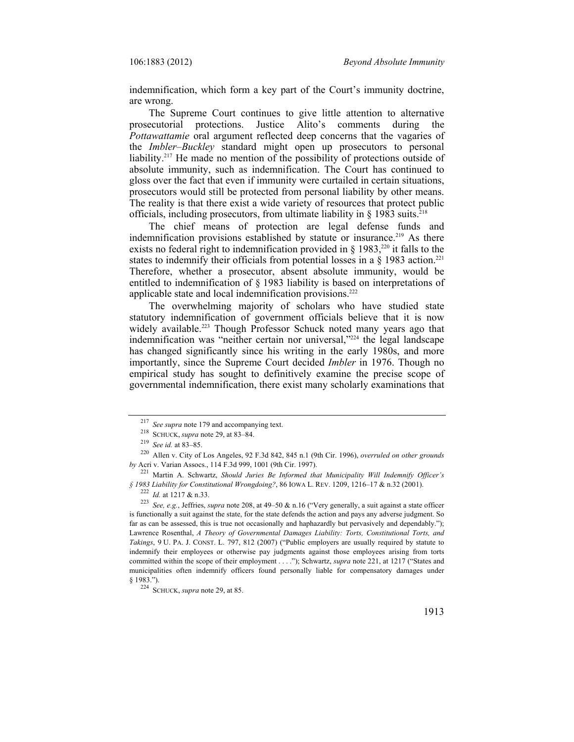indemnification, which form a key part of the Court's immunity doctrine, are wrong.

The Supreme Court continues to give little attention to alternative prosecutorial protections. Justice Alito's comments during the *Pottawattamie* oral argument reflected deep concerns that the vagaries of the *Imbler–Buckley* standard might open up prosecutors to personal liability.<sup>217</sup> He made no mention of the possibility of protections outside of absolute immunity, such as indemnification. The Court has continued to gloss over the fact that even if immunity were curtailed in certain situations, prosecutors would still be protected from personal liability by other means. The reality is that there exist a wide variety of resources that protect public officials, including prosecutors, from ultimate liability in  $\S$  1983 suits.<sup>218</sup>

The chief means of protection are legal defense funds and indemnification provisions established by statute or insurance.<sup>219</sup> As there exists no federal right to indemnification provided in  $\S$  1983,<sup>220</sup> it falls to the states to indemnify their officials from potential losses in a  $\S$  1983 action.<sup>221</sup> Therefore, whether a prosecutor, absent absolute immunity, would be entitled to indemnification of § 1983 liability is based on interpretations of applicable state and local indemnification provisions.222

The overwhelming majority of scholars who have studied state statutory indemnification of government officials believe that it is now widely available.<sup>223</sup> Though Professor Schuck noted many years ago that indemnification was "neither certain nor universal,"224 the legal landscape has changed significantly since his writing in the early 1980s, and more importantly, since the Supreme Court decided *Imbler* in 1976. Though no empirical study has sought to definitively examine the precise scope of governmental indemnification, there exist many scholarly examinations that

<sup>&</sup>lt;sup>217</sup> See supra note 179 and accompanying text.<br><sup>218</sup> SCHUCK, *supra* note 29, at 83–84.<br><sup>219</sup> See id. at 83–85.<br><sup>219</sup> Allen v. City of Los Angeles, 92 F.3d 842, 845 n.1 (9th Cir. 1996), *overruled on other grounds by* Acri v. Varian Assocs., 114 F.3d 999, 1001 (9th Cir. 1997).

<sup>&</sup>lt;sup>221</sup> Martin A. Schwartz, *Should Juries Be Informed that Municipality Will Indemnify Officer's*<br>§ 1983 Liability for Constitutional Wrongdoing?, 86 IOWA L. REV. 1209, 1216–17 & n.32 (2001).

<sup>&</sup>lt;sup>222</sup> *Id.* at 1217 & n.33.<br><sup>223</sup> *See, e.g., Jeffries, supra* note 208, at 49–50 & n.16 ("Very generally, a suit against a state officer is functionally a suit against the state, for the state defends the action and pays any adverse judgment. So far as can be assessed, this is true not occasionally and haphazardly but pervasively and dependably."); Lawrence Rosenthal, *A Theory of Governmental Damages Liability: Torts, Constitutional Torts, and Takings*, 9 U. PA. J. CONST. L. 797, 812 (2007) ("Public employers are usually required by statute to indemnify their employees or otherwise pay judgments against those employees arising from torts committed within the scope of their employment . . . ."); Schwartz, *supra* note 221, at 1217 ("States and municipalities often indemnify officers found personally liable for compensatory damages under § 1983.").

<sup>§ 1983.&</sup>quot;). 224 SCHUCK, *supra* note 29, at 85.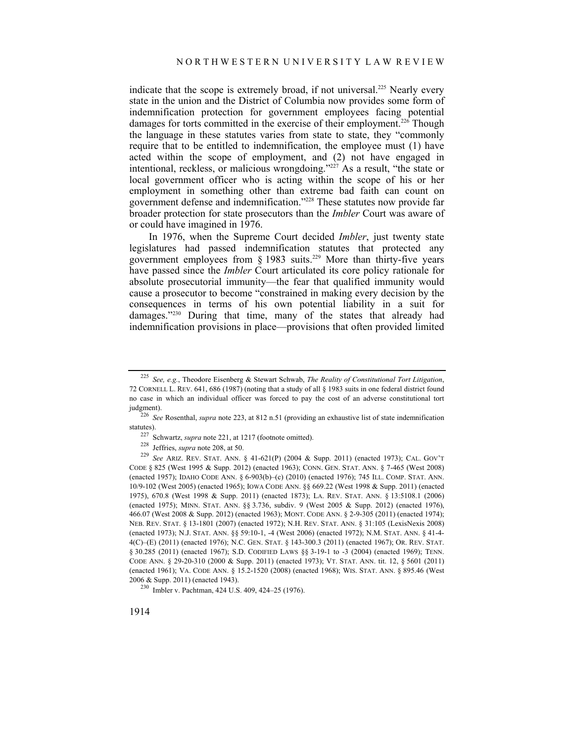indicate that the scope is extremely broad, if not universal.<sup>225</sup> Nearly every state in the union and the District of Columbia now provides some form of indemnification protection for government employees facing potential damages for torts committed in the exercise of their employment.<sup>226</sup> Though the language in these statutes varies from state to state, they "commonly require that to be entitled to indemnification, the employee must (1) have acted within the scope of employment, and (2) not have engaged in intentional, reckless, or malicious wrongdoing."227 As a result, "the state or local government officer who is acting within the scope of his or her employment in something other than extreme bad faith can count on government defense and indemnification."228 These statutes now provide far broader protection for state prosecutors than the *Imbler* Court was aware of or could have imagined in 1976.

In 1976, when the Supreme Court decided *Imbler*, just twenty state legislatures had passed indemnification statutes that protected any government employees from  $\S$  1983 suits.<sup>229</sup> More than thirty-five years have passed since the *Imbler* Court articulated its core policy rationale for absolute prosecutorial immunity—the fear that qualified immunity would cause a prosecutor to become "constrained in making every decision by the consequences in terms of his own potential liability in a suit for damages."230 During that time, many of the states that already had indemnification provisions in place—provisions that often provided limited

<sup>225</sup> *See, e.g.*, Theodore Eisenberg & Stewart Schwab, *The Reality of Constitutional Tort Litigation*, 72 CORNELL L. REV. 641, 686 (1987) (noting that a study of all § 1983 suits in one federal district found no case in which an individual officer was forced to pay the cost of an adverse constitutional tort judgment). 226 *See* Rosenthal, *supra* note 223, at 812 n.51 (providing an exhaustive list of state indemnification

statutes).<br><sup>227</sup> Schwartz, *supra* note 221, at 1217 (footnote omitted).<br><sup>228</sup> Jeffries, *supra* note 208, at 50.<br><sup>229</sup> *See* ARIZ. REV. STAT. ANN. § 41-621(P) (2004 & Supp. 2011) (enacted 1973); CAL. GOV'T

CODE § 825 (West 1995 & Supp. 2012) (enacted 1963); CONN. GEN. STAT. ANN. § 7-465 (West 2008) (enacted 1957); IDAHO CODE ANN. § 6-903(b)–(c) (2010) (enacted 1976); 745 ILL. COMP. STAT. ANN. 10/9-102 (West 2005) (enacted 1965); IOWA CODE ANN. §§ 669.22 (West 1998 & Supp. 2011) (enacted 1975), 670.8 (West 1998 & Supp. 2011) (enacted 1873); LA. REV. STAT. ANN. § 13:5108.1 (2006) (enacted 1975); MINN. STAT. ANN. §§ 3.736, subdiv. 9 (West 2005 & Supp. 2012) (enacted 1976), 466.07 (West 2008 & Supp. 2012) (enacted 1963); MONT. CODE ANN. § 2-9-305 (2011) (enacted 1974); NEB. REV. STAT. § 13-1801 (2007) (enacted 1972); N.H. REV. STAT. ANN. § 31:105 (LexisNexis 2008) (enacted 1973); N.J. STAT. ANN. §§ 59:10-1, -4 (West 2006) (enacted 1972); N.M. STAT. ANN. § 41-4- 4(C)–(E) (2011) (enacted 1976); N.C. GEN. STAT. § 143-300.3 (2011) (enacted 1967); OR. REV. STAT. § 30.285 (2011) (enacted 1967); S.D. CODIFIED LAWS §§ 3-19-1 to -3 (2004) (enacted 1969); TENN. CODE ANN. § 29-20-310 (2000 & Supp. 2011) (enacted 1973); VT. STAT. ANN. tit. 12, § 5601 (2011) (enacted 1961); VA. CODE ANN. § 15.2-1520 (2008) (enacted 1968); WIS. STAT. ANN. § 895.46 (West

<sup>&</sup>lt;sup>230</sup> Imbler v. Pachtman, 424 U.S. 409, 424–25 (1976).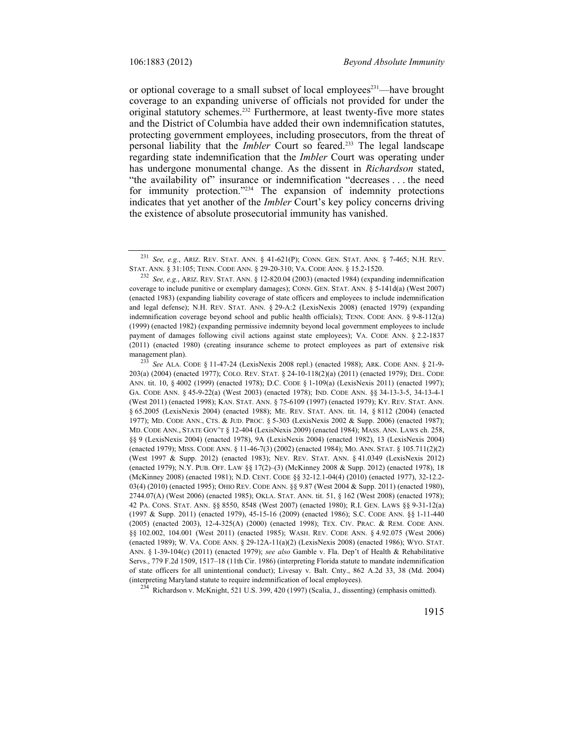or optional coverage to a small subset of local employees<sup>231</sup>—have brought coverage to an expanding universe of officials not provided for under the original statutory schemes.232 Furthermore, at least twenty-five more states and the District of Columbia have added their own indemnification statutes, protecting government employees, including prosecutors, from the threat of personal liability that the *Imbler* Court so feared.233 The legal landscape regarding state indemnification that the *Imbler* Court was operating under has undergone monumental change. As the dissent in *Richardson* stated, "the availability of" insurance or indemnification "decreases . . . the need for immunity protection."<sup>234</sup> The expansion of indemnity protections indicates that yet another of the *Imbler* Court's key policy concerns driving the existence of absolute prosecutorial immunity has vanished.

203(a) (2004) (enacted 1977); COLO. REV. STAT. § 24-10-118(2)(a) (2011) (enacted 1979); DEL. CODE ANN. tit. 10, § 4002 (1999) (enacted 1978); D.C. CODE § 1-109(a) (LexisNexis 2011) (enacted 1997); GA. CODE ANN. § 45-9-22(a) (West 2003) (enacted 1978); IND. CODE ANN. §§ 34-13-3-5, 34-13-4-1 (West 2011) (enacted 1998); KAN. STAT. ANN. § 75-6109 (1997) (enacted 1979); KY. REV. STAT. ANN. § 65.2005 (LexisNexis 2004) (enacted 1988); ME. REV. STAT. ANN. tit. 14, § 8112 (2004) (enacted 1977); MD. CODE ANN., CTS. & JUD. PROC. § 5-303 (LexisNexis 2002 & Supp. 2006) (enacted 1987); MD. CODE ANN., STATE GOV'T § 12-404 (LexisNexis 2009) (enacted 1984); MASS. ANN. LAWS ch. 258, §§ 9 (LexisNexis 2004) (enacted 1978), 9A (LexisNexis 2004) (enacted 1982), 13 (LexisNexis 2004) (enacted 1979); MISS. CODE ANN. § 11-46-7(3) (2002) (enacted 1984); MO. ANN. STAT. § 105.711(2)(2) (West 1997 & Supp. 2012) (enacted 1983); NEV. REV. STAT. ANN. § 41.0349 (LexisNexis 2012) (enacted 1979); N.Y. PUB. OFF. LAW §§ 17(2)–(3) (McKinney 2008 & Supp. 2012) (enacted 1978), 18 (McKinney 2008) (enacted 1981); N.D. CENT. CODE §§ 32-12.1-04(4) (2010) (enacted 1977), 32-12.2- 03(4) (2010) (enacted 1995); OHIO REV. CODE ANN. §§ 9.87 (West 2004 & Supp. 2011) (enacted 1980), 2744.07(A) (West 2006) (enacted 1985); OKLA. STAT. ANN. tit. 51, § 162 (West 2008) (enacted 1978); 42 PA. CONS. STAT. ANN. §§ 8550, 8548 (West 2007) (enacted 1980); R.I. GEN. LAWS §§ 9-31-12(a) (1997 & Supp. 2011) (enacted 1979), 45-15-16 (2009) (enacted 1986); S.C. CODE ANN. §§ 1-11-440 (2005) (enacted 2003), 12-4-325(A) (2000) (enacted 1998); TEX. CIV. PRAC. & REM. CODE ANN. §§ 102.002, 104.001 (West 2011) (enacted 1985); WASH. REV. CODE ANN. § 4.92.075 (West 2006) (enacted 1989); W. VA. CODE ANN. § 29-12A-11(a)(2) (LexisNexis 2008) (enacted 1986); WYO. STAT. ANN. § 1-39-104(c) (2011) (enacted 1979); *see also* Gamble v. Fla. Dep't of Health & Rehabilitative Servs., 779 F.2d 1509, 1517–18 (11th Cir. 1986) (interpreting Florida statute to mandate indemnification of state officers for all unintentional conduct); Livesay v. Balt. Cnty., 862 A.2d 33, 38 (Md. 2004) (interpreting Maryland statute to require indemnification of local employees). 234 Richardson v. McKnight, 521 U.S. 399, 420 (1997) (Scalia, J., dissenting) (emphasis omitted).

<sup>&</sup>lt;sup>231</sup> *See, e.g.*, ARIZ. REV. STAT. ANN. § 41-621(P); CONN. GEN. STAT. ANN. § 7-465; N.H. REV. STAT. ANN. § 31:105; TENN. CODE ANN. § 29-20-310; VA. CODE ANN. § 15.2-1520.

<sup>&</sup>lt;sup>232</sup> See, e.g., ARIZ. REV. STAT. ANN. § 12-820.04 (2003) (enacted 1984) (expanding indemnification coverage to include punitive or exemplary damages); CONN. GEN. STAT. ANN. § 5-141d(a) (West 2007) (enacted 1983) (expanding liability coverage of state officers and employees to include indemnification and legal defense); N.H. REV. STAT. ANN. § 29-A:2 (LexisNexis 2008) (enacted 1979) (expanding indemnification coverage beyond school and public health officials); TENN. CODE ANN. § 9-8-112(a) (1999) (enacted 1982) (expanding permissive indemnity beyond local government employees to include payment of damages following civil actions against state employees); VA. CODE ANN. § 2.2-1837 (2011) (enacted 1980) (creating insurance scheme to protect employees as part of extensive risk management plan).<br><sup>233</sup> *See* ALA. CODE § 11-47-24 (LexisNexis 2008 repl.) (enacted 1988); ARK. CODE ANN. § 21-9-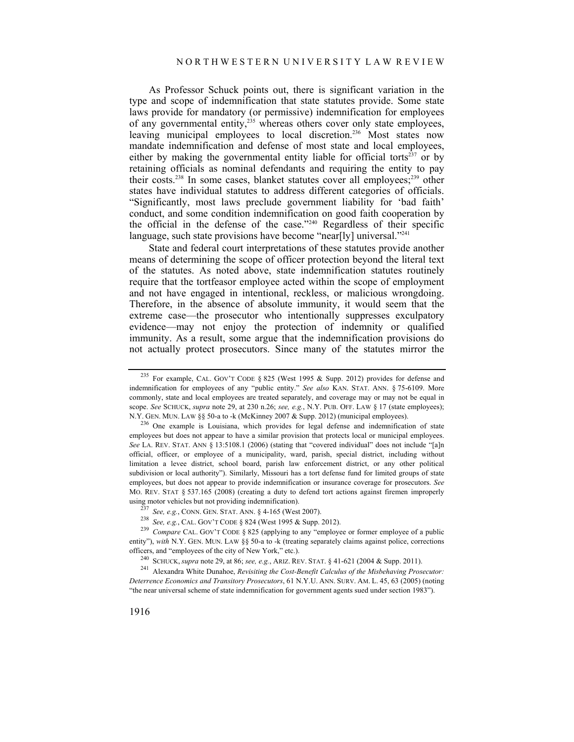As Professor Schuck points out, there is significant variation in the type and scope of indemnification that state statutes provide. Some state laws provide for mandatory (or permissive) indemnification for employees of any governmental entity,<sup>235</sup> whereas others cover only state employees, leaving municipal employees to local discretion.<sup>236</sup> Most states now mandate indemnification and defense of most state and local employees, either by making the governmental entity liable for official torts<sup>237</sup> or by retaining officials as nominal defendants and requiring the entity to pay their costs.<sup>238</sup> In some cases, blanket statutes cover all employees;<sup>239</sup> other states have individual statutes to address different categories of officials. "Significantly, most laws preclude government liability for 'bad faith' conduct, and some condition indemnification on good faith cooperation by the official in the defense of the case."240 Regardless of their specific language, such state provisions have become "near[ly] universal."<sup>241</sup>

State and federal court interpretations of these statutes provide another means of determining the scope of officer protection beyond the literal text of the statutes. As noted above, state indemnification statutes routinely require that the tortfeasor employee acted within the scope of employment and not have engaged in intentional, reckless, or malicious wrongdoing. Therefore, in the absence of absolute immunity, it would seem that the extreme case—the prosecutor who intentionally suppresses exculpatory evidence—may not enjoy the protection of indemnity or qualified immunity. As a result, some argue that the indemnification provisions do not actually protect prosecutors. Since many of the statutes mirror the

<sup>&</sup>lt;sup>235</sup> For example, CAL. GOV'T CODE § 825 (West 1995 & Supp. 2012) provides for defense and indemnification for employees of any "public entity." *See also* KAN. STAT. ANN. § 75-6109. More commonly, state and local employees are treated separately, and coverage may or may not be equal in scope. *See* SCHUCK, *supra* note 29, at 230 n.26; *see, e.g.*, N.Y. PUB. OFF. LAW § 17 (state employees); N.Y. GEN. MUN. LAW §§ 50-a to -k (McKinney 2007 & Supp. 2012) (municipal employees).

 $236$  One example is Louisiana, which provides for legal defense and indemnification of state employees but does not appear to have a similar provision that protects local or municipal employees. *See* LA. REV. STAT. ANN § 13:5108.1 (2006) (stating that "covered individual" does not include "[a]n official, officer, or employee of a municipality, ward, parish, special district, including without limitation a levee district, school board, parish law enforcement district, or any other political subdivision or local authority"). Similarly, Missouri has a tort defense fund for limited groups of state employees, but does not appear to provide indemnification or insurance coverage for prosecutors. *See* MO. REV. STAT § 537.165 (2008) (creating a duty to defend tort actions against firemen improperly

using motor vehicles but not providing indemnification).<br>
<sup>237</sup> See, e.g., CONN. GEN. STAT. ANN. § 4-165 (West 2007).<br>
<sup>238</sup> See, e.g., CAL. GOV'T CODE § 824 (West 1995 & Supp. 2012).<br>
<sup>239</sup> Compare CAL. GOV'T CODE § 825 entity"), with N.Y. GEN. MUN. LAW §§ 50-a to -k (treating separately claims against police, corrections

officers, and "employees of the city of New York," etc.).<br><sup>240</sup> SCHUCK, *supra* note 29, at 86; *see, e.g.*, ARIZ. REV. STAT. § 41-621 (2004 & Supp. 2011).<br><sup>241</sup> Alexandra White Dunahoe, *Revisiting the Cost-Benefit Calcul Deterrence Economics and Transitory Prosecutors*, 61 N.Y.U. ANN. SURV. AM. L. 45, 63 (2005) (noting "the near universal scheme of state indemnification for government agents sued under section 1983").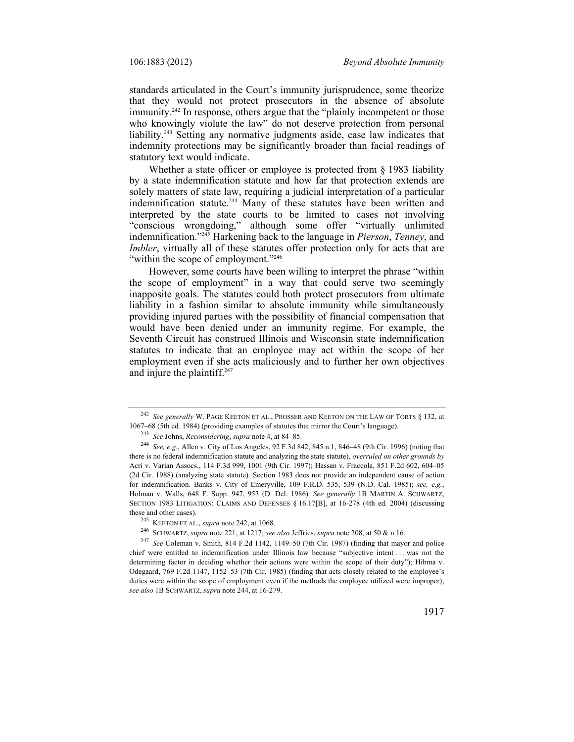standards articulated in the Court's immunity jurisprudence, some theorize that they would not protect prosecutors in the absence of absolute immunity.<sup>242</sup> In response, others argue that the "plainly incompetent or those who knowingly violate the law" do not deserve protection from personal liability.<sup>243</sup> Setting any normative judgments aside, case law indicates that indemnity protections may be significantly broader than facial readings of statutory text would indicate.

Whether a state officer or employee is protected from § 1983 liability by a state indemnification statute and how far that protection extends are solely matters of state law, requiring a judicial interpretation of a particular indemnification statute.<sup>244</sup> Many of these statutes have been written and interpreted by the state courts to be limited to cases not involving "conscious wrongdoing," although some offer "virtually unlimited indemnification."245 Harkening back to the language in *Pierson*, *Tenney*, and *Imbler*, virtually all of these statutes offer protection only for acts that are "within the scope of employment."<sup>246</sup>

However, some courts have been willing to interpret the phrase "within the scope of employment" in a way that could serve two seemingly inapposite goals. The statutes could both protect prosecutors from ultimate liability in a fashion similar to absolute immunity while simultaneously providing injured parties with the possibility of financial compensation that would have been denied under an immunity regime. For example, the Seventh Circuit has construed Illinois and Wisconsin state indemnification statutes to indicate that an employee may act within the scope of her employment even if she acts maliciously and to further her own objectives and injure the plaintiff.247

<sup>242</sup> *See generally* W. PAGE KEETON ET AL., PROSSER AND KEETON ON THE LAW OF TORTS § 132, at 1067–68 (5th ed. 1984) (providing examples of statutes that mirror the Court's language).

<sup>&</sup>lt;sup>243</sup> See Johns, *Reconsidering*, *supra* note 4, at 84–85.<br><sup>244</sup> See, e.g., Allen v. City of Los Angeles, 92 F.3d 842, 845 n.1, 846–48 (9th Cir. 1996) (noting that there is no federal indemnification statute and analyzing the state statute), *overruled on other grounds by* Acri v. Varian Assocs., 114 F.3d 999, 1001 (9th Cir. 1997); Hassan v. Fraccola, 851 F.2d 602, 604–05 (2d Cir. 1988) (analyzing state statute). Section 1983 does not provide an independent cause of action for indemnification. Banks v. City of Emeryville, 109 F.R.D. 535, 539 (N.D. Cal. 1985); *see, e.g.*, Holman v. Walls, 648 F. Supp. 947, 953 (D. Del. 1986)*. See generally* 1B MARTIN A. SCHWARTZ, SECTION 1983 LITIGATION: CLAIMS AND DEFENSES § 16.17[B], at 16-278 (4th ed. 2004) (discussing these and other cases).<br>
<sup>245</sup> KEETON ET AL., *supra* note 242, at 1068.<br>
<sup>246</sup> SCHWARTZ, *supra* note 221, at 1217; *see also* Jeffries, *supra* note 208, at 50 & n.16.<br>
<sup>247</sup> See Coleman v. Smith, 814 F.2d 1142, 1149–50

chief were entitled to indemnification under Illinois law because "subjective intent . . . was not the determining factor in deciding whether their actions were within the scope of their duty"); Hibma v. Odegaard, 769 F.2d 1147, 1152–53 (7th Cir. 1985) (finding that acts closely related to the employee's duties were within the scope of employment even if the methods the employee utilized were improper); *see also* 1B SCHWARTZ, *supra* note 244, at 16-279.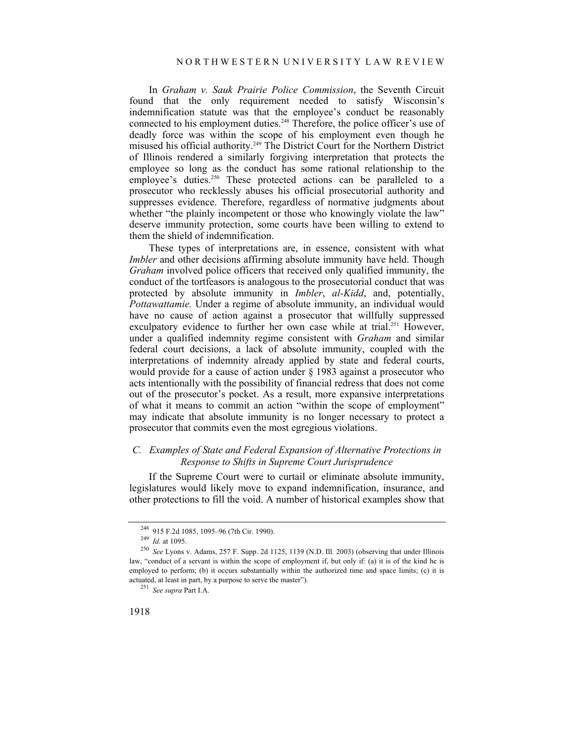In *Graham v. Sauk Prairie Police Commission*, the Seventh Circuit found that the only requirement needed to satisfy Wisconsin's indemnification statute was that the employee's conduct be reasonably connected to his employment duties.<sup>248</sup> Therefore, the police officer's use of deadly force was within the scope of his employment even though he misused his official authority.249 The District Court for the Northern District of Illinois rendered a similarly forgiving interpretation that protects the employee so long as the conduct has some rational relationship to the employee's duties.<sup>250</sup> These protected actions can be paralleled to a prosecutor who recklessly abuses his official prosecutorial authority and suppresses evidence. Therefore, regardless of normative judgments about whether "the plainly incompetent or those who knowingly violate the law" deserve immunity protection, some courts have been willing to extend to them the shield of indemnification.

These types of interpretations are, in essence, consistent with what *Imbler* and other decisions affirming absolute immunity have held. Though *Graham* involved police officers that received only qualified immunity, the conduct of the tortfeasors is analogous to the prosecutorial conduct that was protected by absolute immunity in *Imbler*, *al-Kidd*, and, potentially, *Pottawattamie.* Under a regime of absolute immunity, an individual would have no cause of action against a prosecutor that willfully suppressed exculpatory evidence to further her own case while at trial.<sup>251</sup> However, under a qualified indemnity regime consistent with *Graham* and similar federal court decisions, a lack of absolute immunity, coupled with the interpretations of indemnity already applied by state and federal courts, would provide for a cause of action under § 1983 against a prosecutor who acts intentionally with the possibility of financial redress that does not come out of the prosecutor's pocket. As a result, more expansive interpretations of what it means to commit an action "within the scope of employment" may indicate that absolute immunity is no longer necessary to protect a prosecutor that commits even the most egregious violations.

## *C. Examples of State and Federal Expansion of Alternative Protections in Response to Shifts in Supreme Court Jurisprudence*

If the Supreme Court were to curtail or eliminate absolute immunity, legislatures would likely move to expand indemnification, insurance, and other protections to fill the void. A number of historical examples show that

<sup>248 915</sup> F.2d 1085, 1095–96 (7th Cir. 1990). 249 *Id.* at 1095. 250 *See* Lyons v. Adams, 257 F. Supp. 2d 1125, 1139 (N.D. Ill. 2003) (observing that under Illinois law, "conduct of a servant is within the scope of employment if, but only if: (a) it is of the kind he is employed to perform; (b) it occurs substantially within the authorized time and space limits; (c) it is actuated, at least in part, by a purpose to serve the master"). 251 *See supra* Part I.A.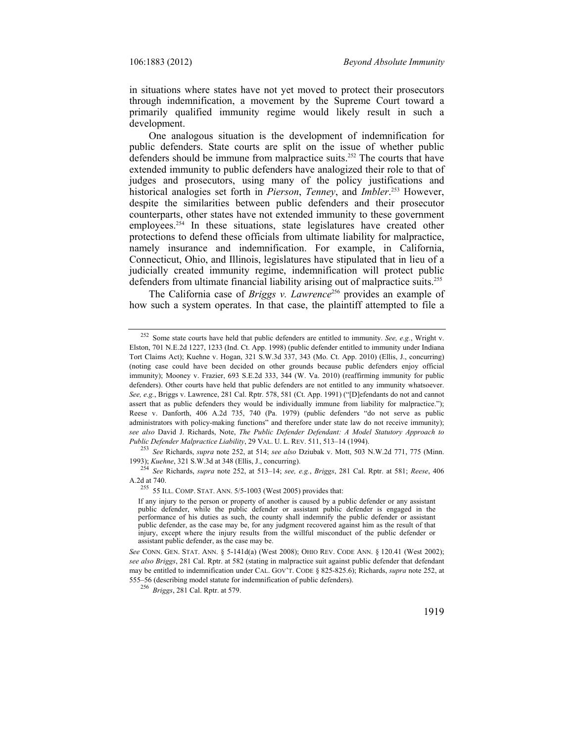in situations where states have not yet moved to protect their prosecutors through indemnification, a movement by the Supreme Court toward a primarily qualified immunity regime would likely result in such a development.

One analogous situation is the development of indemnification for public defenders. State courts are split on the issue of whether public defenders should be immune from malpractice suits.<sup>252</sup> The courts that have extended immunity to public defenders have analogized their role to that of judges and prosecutors, using many of the policy justifications and historical analogies set forth in *Pierson*, *Tenney*, and *Imbler*. 253 However, despite the similarities between public defenders and their prosecutor counterparts, other states have not extended immunity to these government employees.<sup>254</sup> In these situations, state legislatures have created other protections to defend these officials from ultimate liability for malpractice, namely insurance and indemnification. For example, in California, Connecticut, Ohio, and Illinois, legislatures have stipulated that in lieu of a judicially created immunity regime, indemnification will protect public defenders from ultimate financial liability arising out of malpractice suits.<sup>255</sup>

The California case of *Briggs v. Lawrence*<sup>256</sup> provides an example of how such a system operates. In that case, the plaintiff attempted to file a

1993); *Kuehne*, 321 S.W.3d at 348 (Ellis, J., concurring). 254 *See* Richards, *supra* note 252, at 513–14; *see, e.g.*, *Briggs*, 281 Cal. Rptr. at 581; *Reese*, 406

<sup>252</sup> Some state courts have held that public defenders are entitled to immunity. *See, e.g.*, Wright v. Elston, 701 N.E.2d 1227, 1233 (Ind. Ct. App. 1998) (public defender entitled to immunity under Indiana Tort Claims Act); Kuehne v. Hogan, 321 S.W.3d 337, 343 (Mo. Ct. App. 2010) (Ellis, J., concurring) (noting case could have been decided on other grounds because public defenders enjoy official immunity); Mooney v. Frazier, 693 S.E.2d 333, 344 (W. Va. 2010) (reaffirming immunity for public defenders). Other courts have held that public defenders are not entitled to any immunity whatsoever. *See, e.g.*, Briggs v. Lawrence, 281 Cal. Rptr. 578, 581 (Ct. App. 1991) ("[D]efendants do not and cannot assert that as public defenders they would be individually immune from liability for malpractice."); Reese v. Danforth, 406 A.2d 735, 740 (Pa. 1979) (public defenders "do not serve as public administrators with policy-making functions" and therefore under state law do not receive immunity); *see also* David J. Richards, Note, *The Public Defender Defendant: A Model Statutory Approach to Public Defender Malpractice Liability*, 29 VAL. U. L. REV. 511, 513–14 (1994). 253 *See* Richards, *supra* note 252, at 514; *see also* Dziubak v. Mott, 503 N.W.2d 771, 775 (Minn.

 $255$  55 ILL. COMP. STAT. ANN. 5/5-1003 (West 2005) provides that:

If any injury to the person or property of another is caused by a public defender or any assistant public defender, while the public defender or assistant public defender is engaged in the performance of his duties as such, the county shall indemnify the public defender or assistant public defender, as the case may be, for any judgment recovered against him as the result of that injury, except where the injury results from the willful misconduct of the public defender or assistant public defender, as the case may be.

*See* CONN. GEN. STAT. ANN. § 5-141d(a) (West 2008); OHIO REV. CODE ANN. § 120.41 (West 2002); *see also Briggs*, 281 Cal. Rptr. at 582 (stating in malpractice suit against public defender that defendant may be entitled to indemnification under CAL. GOV'T. CODE § 825-825.6); Richards, *supra* note 252, at 555–56 (describing model statute for indemnification of public defenders). 256 *Briggs*, 281 Cal. Rptr. at 579.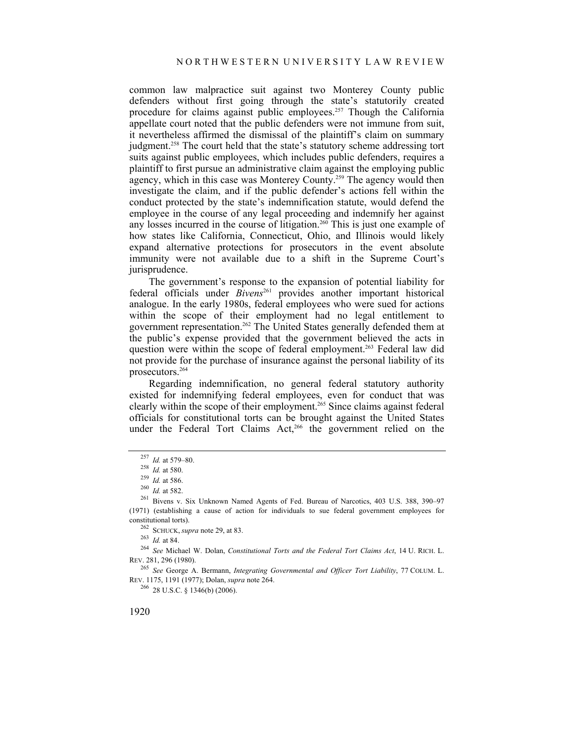common law malpractice suit against two Monterey County public defenders without first going through the state's statutorily created procedure for claims against public employees.257 Though the California appellate court noted that the public defenders were not immune from suit, it nevertheless affirmed the dismissal of the plaintiff's claim on summary judgment.<sup>258</sup> The court held that the state's statutory scheme addressing tort suits against public employees, which includes public defenders, requires a plaintiff to first pursue an administrative claim against the employing public agency, which in this case was Monterey County.<sup>259</sup> The agency would then investigate the claim, and if the public defender's actions fell within the conduct protected by the state's indemnification statute, would defend the employee in the course of any legal proceeding and indemnify her against any losses incurred in the course of litigation.<sup>260</sup> This is just one example of how states like California, Connecticut, Ohio, and Illinois would likely expand alternative protections for prosecutors in the event absolute immunity were not available due to a shift in the Supreme Court's jurisprudence.

The government's response to the expansion of potential liability for federal officials under *Bivens*261 provides another important historical analogue. In the early 1980s, federal employees who were sued for actions within the scope of their employment had no legal entitlement to government representation.<sup>262</sup> The United States generally defended them at the public's expense provided that the government believed the acts in question were within the scope of federal employment.<sup>263</sup> Federal law did not provide for the purchase of insurance against the personal liability of its prosecutors.264

Regarding indemnification, no general federal statutory authority existed for indemnifying federal employees, even for conduct that was clearly within the scope of their employment.265 Since claims against federal officials for constitutional torts can be brought against the United States under the Federal Tort Claims Act,<sup>266</sup> the government relied on the

constitutional torts). 262 SCHUCK, *supra* note 29, at 83. 263 *Id.* at 84. 264 *See* Michael W. Dolan, *Constitutional Torts and the Federal Tort Claims Act*, 14 U. RICH. L. REV. 281, 296 (1980).

265 *See* George A. Bermann, *Integrating Governmental and Officer Tort Liability*, 77 COLUM. L. REV. 1175, 1191 (1977); Dolan, *supra* note 264. 266 28 U.S.C. § 1346(b) (2006).

<sup>&</sup>lt;sup>257</sup> *Id.* at 579–80.<br>
<sup>258</sup> *Id.* at 580.<br>
<sup>259</sup> *Id.* at 586.<br>
<sup>260</sup> *Id.* at 582.<br>
<sup>261</sup> Bivens v. Six Unknown Named Agents of Fed. Bureau of Narcotics, 403 U.S. 388, 390–97 (1971) (establishing a cause of action for individuals to sue federal government employees for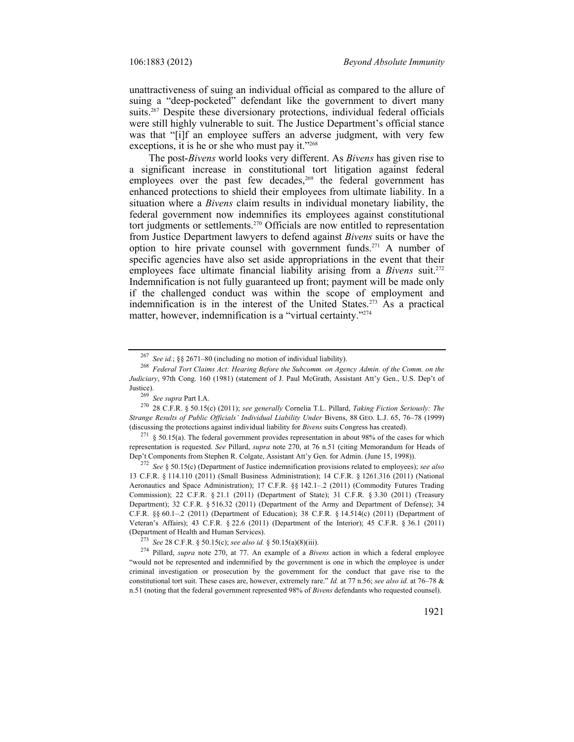unattractiveness of suing an individual official as compared to the allure of suing a "deep-pocketed" defendant like the government to divert many suits.<sup>267</sup> Despite these diversionary protections, individual federal officials were still highly vulnerable to suit. The Justice Department's official stance was that "[i]f an employee suffers an adverse judgment, with very few exceptions, it is he or she who must pay it."<sup>268</sup>

The post-*Bivens* world looks very different. As *Bivens* has given rise to a significant increase in constitutional tort litigation against federal employees over the past few decades,<sup>269</sup> the federal government has enhanced protections to shield their employees from ultimate liability. In a situation where a *Bivens* claim results in individual monetary liability, the federal government now indemnifies its employees against constitutional tort judgments or settlements.<sup>270</sup> Officials are now entitled to representation from Justice Department lawyers to defend against *Bivens* suits or have the option to hire private counsel with government funds.271 A number of specific agencies have also set aside appropriations in the event that their employees face ultimate financial liability arising from a *Bivens* suit.<sup>272</sup> Indemnification is not fully guaranteed up front; payment will be made only if the challenged conduct was within the scope of employment and indemnification is in the interest of the United States.<sup>273</sup> As a practical matter, however, indemnification is a "virtual certainty."274

representation is requested. *See* Pillard, *supra* note 270, at 76 n.51 (citing Memorandum for Heads of Dep't Components from Stephen R. Colgate, Assistant Att'y Gen. for Admin. (June 15, 1998)).

<sup>272</sup> *See* § 50.15(c) (Department of Justice indemnification provisions related to employees); *see also* 13 C.F.R. § 114.110 (2011) (Small Business Administration); 14 C.F.R. § 1261.316 (2011) (National Aeronautics and Space Administration); 17 C.F.R. §§ 142.1-.2 (2011) (Commodity Futures Trading Commission); 22 C.F.R. § 21.1 (2011) (Department of State); 31 C.F.R. § 3.30 (2011) (Treasury Department); 32 C.F.R. § 516.32 (2011) (Department of the Army and Department of Defense); 34 C.F.R.  $\S$ § 60.1-.2 (2011) (Department of Education); 38 C.F.R. § 14.514(c) (2011) (Department of Veteran's Affairs); 43 C.F.R. § 22.6 (2011) (Department of the Interior); 45 C.F.R. § 36.1 (2011) (Department of Health and Human Services).<br>
<sup>273</sup> See 28 C.F.R. § 50.15(c); see also id. § 50.15(a)(8)(iii).<br>
<sup>274</sup> Pillard, *supra* note 270, at 77. An example of a *Bivens* action in which a federal employee

<sup>267</sup>*See id.*; §§ 2671–80 (including no motion of individual liability). 268 *Federal Tort Claims Act: Hearing Before the Subcomm. on Agency Admin. of the Comm. on the Judiciary*, 97th Cong. 160 (1981) (statement of J. Paul McGrath, Assistant Att'y Gen., U.S. Dep't of Justice). 269 *See supra* Part I.A. 270 28 C.F.R. § 50.15(c) (2011); *see generally* Cornelia T.L. Pillard, *Taking Fiction Seriously: The* 

*Strange Results of Public Officials' Individual Liability Under* Bivens, 88 GEO. L.J. 65, 76–78 (1999) (discussing the protections against individual liability for *Bivens* suits Congress has created). 271 § 50.15(a). The federal government provides representation in about 98% of the cases for which

<sup>&</sup>quot;would not be represented and indemnified by the government is one in which the employee is under criminal investigation or prosecution by the government for the conduct that gave rise to the constitutional tort suit. These cases are, however, extremely rare." *Id.* at 77 n.56; *see also id.* at 76–78 & n.51 (noting that the federal government represented 98% of *Bivens* defendants who requested counsel).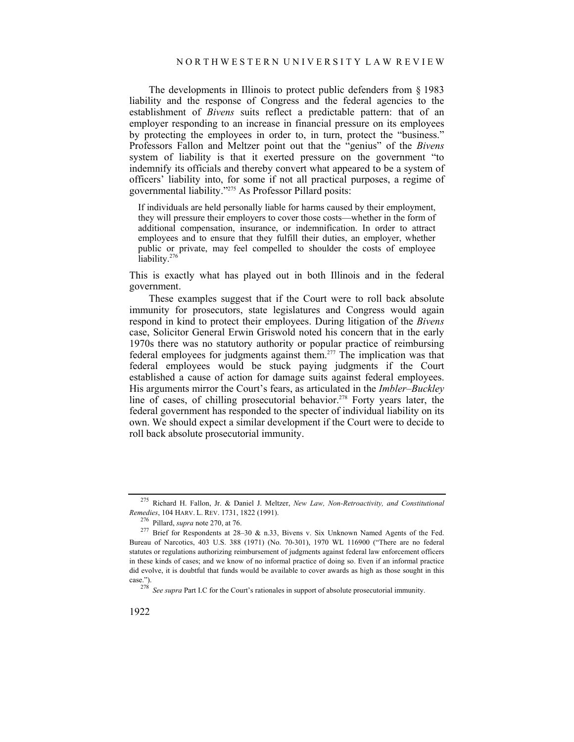The developments in Illinois to protect public defenders from § 1983 liability and the response of Congress and the federal agencies to the establishment of *Bivens* suits reflect a predictable pattern: that of an employer responding to an increase in financial pressure on its employees by protecting the employees in order to, in turn, protect the "business." Professors Fallon and Meltzer point out that the "genius" of the *Bivens* system of liability is that it exerted pressure on the government "to indemnify its officials and thereby convert what appeared to be a system of officers' liability into, for some if not all practical purposes, a regime of governmental liability."275 As Professor Pillard posits:

If individuals are held personally liable for harms caused by their employment, they will pressure their employers to cover those costs—whether in the form of additional compensation, insurance, or indemnification. In order to attract employees and to ensure that they fulfill their duties, an employer, whether public or private, may feel compelled to shoulder the costs of employee liability.<sup>27</sup>

This is exactly what has played out in both Illinois and in the federal government.

These examples suggest that if the Court were to roll back absolute immunity for prosecutors, state legislatures and Congress would again respond in kind to protect their employees. During litigation of the *Bivens* case, Solicitor General Erwin Griswold noted his concern that in the early 1970s there was no statutory authority or popular practice of reimbursing federal employees for judgments against them.277 The implication was that federal employees would be stuck paying judgments if the Court established a cause of action for damage suits against federal employees. His arguments mirror the Court's fears, as articulated in the *Imbler–Buckley* line of cases, of chilling prosecutorial behavior.<sup>278</sup> Forty years later, the federal government has responded to the specter of individual liability on its own. We should expect a similar development if the Court were to decide to roll back absolute prosecutorial immunity.

<sup>275</sup> Richard H. Fallon, Jr. & Daniel J. Meltzer, *New Law, Non-Retroactivity, and Constitutional Remedies*, 104 HARV. L. REV. 1731, 1822 (1991).<br><sup>276</sup> Pillard, *supra* note 270, at 76.<br><sup>277</sup> Brief for Respondents at 28–30 & n.33, Bivens v. Six Unknown Named Agents of the Fed.

Bureau of Narcotics, 403 U.S. 388 (1971) (No. 70-301), 1970 WL 116900 ("There are no federal statutes or regulations authorizing reimbursement of judgments against federal law enforcement officers in these kinds of cases; and we know of no informal practice of doing so. Even if an informal practice did evolve, it is doubtful that funds would be available to cover awards as high as those sought in this case."). 278 *See supra* Part I.C for the Court's rationales in support of absolute prosecutorial immunity.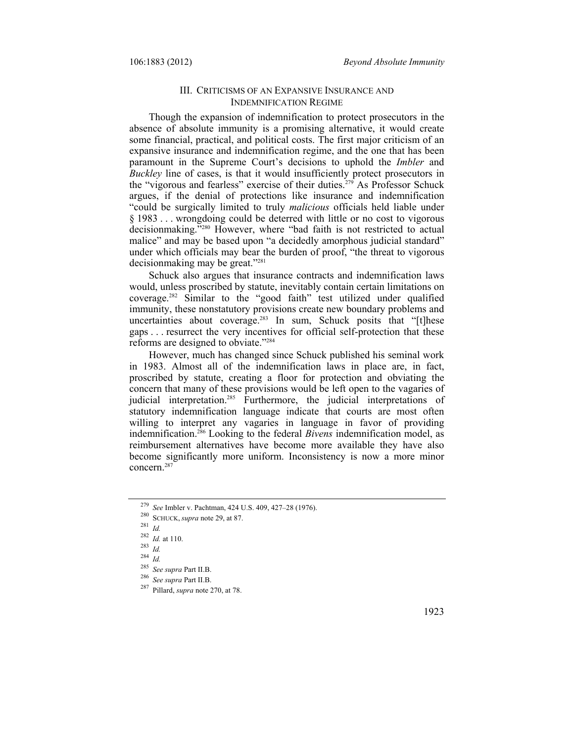## III. CRITICISMS OF AN EXPANSIVE INSURANCE AND INDEMNIFICATION REGIME

Though the expansion of indemnification to protect prosecutors in the absence of absolute immunity is a promising alternative, it would create some financial, practical, and political costs. The first major criticism of an expansive insurance and indemnification regime, and the one that has been paramount in the Supreme Court's decisions to uphold the *Imbler* and *Buckley* line of cases, is that it would insufficiently protect prosecutors in the "vigorous and fearless" exercise of their duties.279 As Professor Schuck argues, if the denial of protections like insurance and indemnification "could be surgically limited to truly *malicious* officials held liable under § 1983 . . . wrongdoing could be deterred with little or no cost to vigorous decisionmaking."280 However, where "bad faith is not restricted to actual malice" and may be based upon "a decidedly amorphous judicial standard" under which officials may bear the burden of proof, "the threat to vigorous decisionmaking may be great."281

Schuck also argues that insurance contracts and indemnification laws would, unless proscribed by statute, inevitably contain certain limitations on coverage.282 Similar to the "good faith" test utilized under qualified immunity, these nonstatutory provisions create new boundary problems and uncertainties about coverage.<sup>283</sup> In sum, Schuck posits that "[t]hese gaps . . . resurrect the very incentives for official self-protection that these reforms are designed to obviate."284

However, much has changed since Schuck published his seminal work in 1983. Almost all of the indemnification laws in place are, in fact, proscribed by statute, creating a floor for protection and obviating the concern that many of these provisions would be left open to the vagaries of judicial interpretation.<sup>285</sup> Furthermore, the judicial interpretations of statutory indemnification language indicate that courts are most often willing to interpret any vagaries in language in favor of providing indemnification.286 Looking to the federal *Bivens* indemnification model, as reimbursement alternatives have become more available they have also become significantly more uniform. Inconsistency is now a more minor concern.287

<sup>279</sup> *See* Imbler v. Pachtman, 424 U.S. 409, 427–28 (1976).

<sup>280</sup> SCHUCK, *supra* note 29, at 87. 281 *Id.*

<sup>282</sup>*Id.* at 110. 283 *Id.*

<sup>&</sup>lt;sup>284</sup> *Id.*<br><sup>285</sup> *See supra* Part II.B.

<sup>285</sup>*See supra* Part II.B. 286 *See supra* Part II.B. 287 Pillard, *supra* note 270, at 78.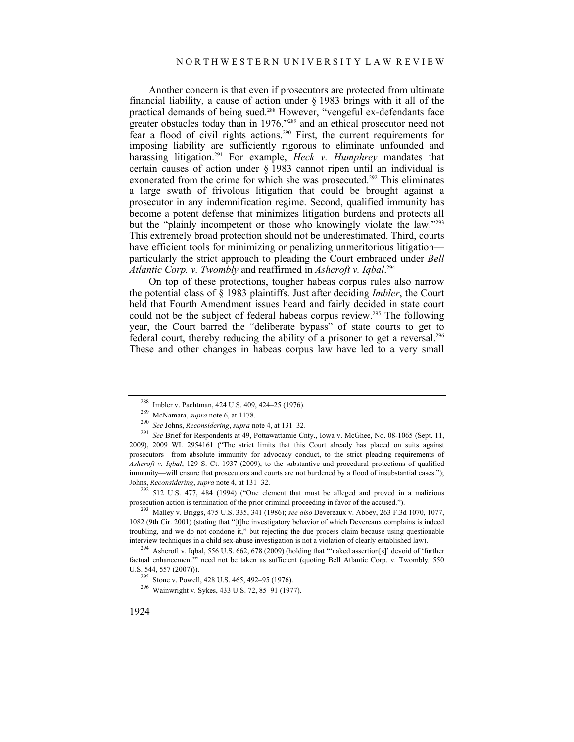Another concern is that even if prosecutors are protected from ultimate financial liability, a cause of action under § 1983 brings with it all of the practical demands of being sued.288 However, "vengeful ex-defendants face greater obstacles today than in 1976,"<sup>289</sup> and an ethical prosecutor need not fear a flood of civil rights actions.<sup>290</sup> First, the current requirements for imposing liability are sufficiently rigorous to eliminate unfounded and harassing litigation.291 For example, *Heck v. Humphrey* mandates that certain causes of action under § 1983 cannot ripen until an individual is exonerated from the crime for which she was prosecuted.<sup>292</sup> This eliminates a large swath of frivolous litigation that could be brought against a prosecutor in any indemnification regime. Second, qualified immunity has become a potent defense that minimizes litigation burdens and protects all but the "plainly incompetent or those who knowingly violate the law."<sup>293</sup> This extremely broad protection should not be underestimated. Third, courts have efficient tools for minimizing or penalizing unmeritorious litigation particularly the strict approach to pleading the Court embraced under *Bell Atlantic Corp. v. Twombly* and reaffirmed in *Ashcroft v. Iqbal*. 294

On top of these protections, tougher habeas corpus rules also narrow the potential class of § 1983 plaintiffs. Just after deciding *Imbler*, the Court held that Fourth Amendment issues heard and fairly decided in state court could not be the subject of federal habeas corpus review.<sup>295</sup> The following year, the Court barred the "deliberate bypass" of state courts to get to federal court, thereby reducing the ability of a prisoner to get a reversal.<sup>296</sup> These and other changes in habeas corpus law have led to a very small

Johns, *Reconsidering*, *supra* note 4, at 131–32.<br><sup>292</sup> 512 U.S. 477, 484 (1994) ("One element that must be alleged and proved in a malicious prosecution action is termination of the prior criminal proceeding in favor of

<sup>293</sup> Malley v. Briggs, 475 U.S. 335, 341 (1986); *see also* Devereaux v. Abbey, 263 F.3d 1070, 1077, 1082 (9th Cir. 2001) (stating that "[t]he investigatory behavior of which Devereaux complains is indeed troubling, and we do not condone it," but rejecting the due process claim because using questionable interview techniques in a child sex-abuse investigation is not a violation of clearly established law). 294 Ashcroft v. Iqbal, 556 U.S. 662, 678 (2009) (holding that "'naked assertion[s]' devoid of 'further

factual enhancement'" need not be taken as sufficient (quoting Bell Atlantic Corp. v. Twombly*,* 550 U.S. 544, 557 (2007))). 295 Stone v. Powell, 428 U.S. 465, 492–95 (1976). 296 Wainwright v. Sykes, 433 U.S. 72, 85–91 (1977).

<sup>&</sup>lt;sup>288</sup> Imbler v. Pachtman, 424 U.S. 409, 424–25 (1976).<br><sup>289</sup> McNamara, *supra* note 6, at 1178.<br><sup>290</sup> See Johns, *Reconsidering*, *supra* note 4, at 131–32.<br><sup>291</sup> See Brief for Respondents at 49, Pottawattamie Cnty., Iowa 2009), 2009 WL 2954161 ("The strict limits that this Court already has placed on suits against prosecutors—from absolute immunity for advocacy conduct, to the strict pleading requirements of *Ashcroft v. Iqbal*, 129 S. Ct. 1937 (2009), to the substantive and procedural protections of qualified immunity—will ensure that prosecutors and courts are not burdened by a flood of insubstantial cases.");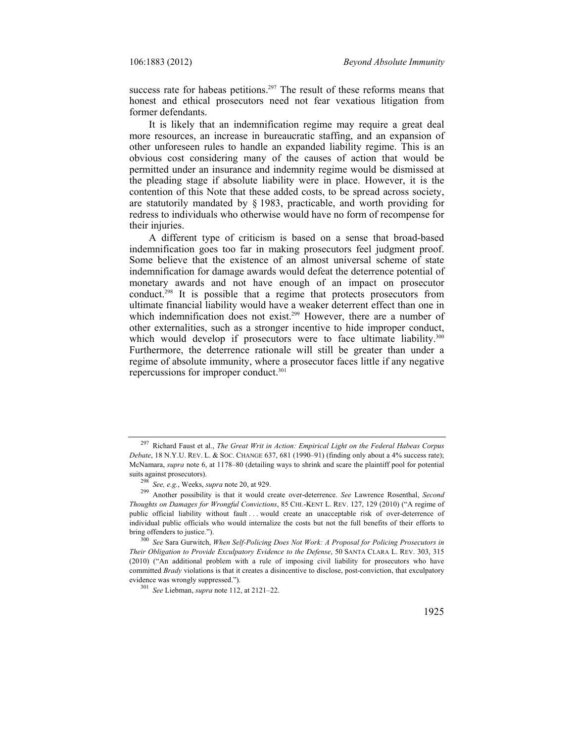success rate for habeas petitions.<sup>297</sup> The result of these reforms means that honest and ethical prosecutors need not fear vexatious litigation from former defendants.

It is likely that an indemnification regime may require a great deal more resources, an increase in bureaucratic staffing, and an expansion of other unforeseen rules to handle an expanded liability regime. This is an obvious cost considering many of the causes of action that would be permitted under an insurance and indemnity regime would be dismissed at the pleading stage if absolute liability were in place. However, it is the contention of this Note that these added costs, to be spread across society, are statutorily mandated by § 1983, practicable, and worth providing for redress to individuals who otherwise would have no form of recompense for their injuries.

A different type of criticism is based on a sense that broad-based indemnification goes too far in making prosecutors feel judgment proof. Some believe that the existence of an almost universal scheme of state indemnification for damage awards would defeat the deterrence potential of monetary awards and not have enough of an impact on prosecutor conduct.298 It is possible that a regime that protects prosecutors from ultimate financial liability would have a weaker deterrent effect than one in which indemnification does not exist.<sup>299</sup> However, there are a number of other externalities, such as a stronger incentive to hide improper conduct, which would develop if prosecutors were to face ultimate liability.<sup>300</sup> Furthermore, the deterrence rationale will still be greater than under a regime of absolute immunity, where a prosecutor faces little if any negative repercussions for improper conduct.<sup>301</sup>

<sup>297</sup> Richard Faust et al., *The Great Writ in Action: Empirical Light on the Federal Habeas Corpus Debate*, 18 N.Y.U. REV. L. & SOC. CHANGE 637, 681 (1990–91) (finding only about a 4% success rate); McNamara, *supra* note 6, at 1178–80 (detailing ways to shrink and scare the plaintiff pool for potential

suits against prosecutors). 298 *See, e.g.*, Weeks, *supra* note 20, at 929. 299 Another possibility is that it would create over-deterrence. *See* Lawrence Rosenthal, *Second Thoughts on Damages for Wrongful Convictions*, 85 CHI.-KENT L. REV. 127, 129 (2010) ("A regime of public official liability without fault ... would create an unacceptable risk of over-deterrence of individual public officials who would internalize the costs but not the full benefits of their efforts to

bring offenders to justice."). 300 *See* Sara Gurwitch, *When Self-Policing Does Not Work: A Proposal for Policing Prosecutors in Their Obligation to Provide Exculpatory Evidence to the Defense*, 50 SANTA CLARA L. REV. 303, 315 (2010) ("An additional problem with a rule of imposing civil liability for prosecutors who have committed *Brady* violations is that it creates a disincentive to disclose, post-conviction, that exculpatory evidence was wrongly suppressed."). 301 *See* Liebman, *supra* note 112, at 2121–22.